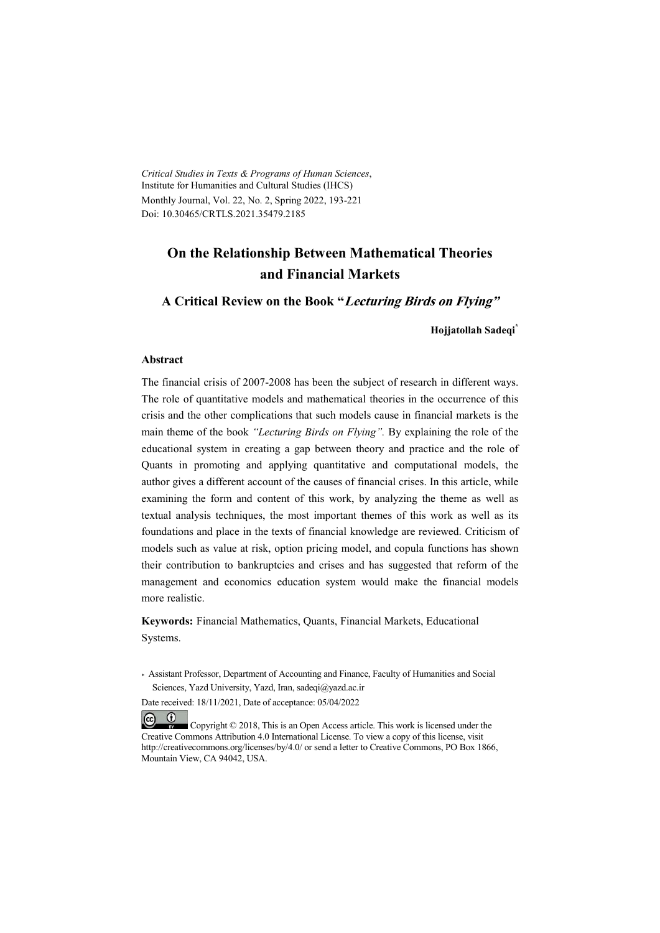*Critical Studies in Texts & Programs of Human Sciences*, Institute for Humanities and Cultural Studies (IHCS) Monthly Journal, Vol. 22, No. 2, Spring 2022, 193-221 Doi: 10.30465/CRTLS.2021.35479.2185

# **On the Relationship Between Mathematical Theories and Financial Markets**

**A Critical Review on the Book "Lecturing Birds on Flying"**

**Hojjatollah Sadeqi\***

#### **Abstract**

The financial crisis of 2007-2008 has been the subject of research in different ways. The role of quantitative models and mathematical theories in the occurrence of this crisis and the other complications that such models cause in financial markets is the main theme of the book *"Lecturing Birds on Flying".* By explaining the role of the educational system in creating a gap between theory and practice and the role of Quants in promoting and applying quantitative and computational models, the author gives a different account of the causes of financial crises. In this article, while examining the form and content of this work, by analyzing the theme as well as textual analysis techniques, the most important themes of this work as well as its foundations and place in the texts of financial knowledge are reviewed. Criticism of models such as value at risk, option pricing model, and copula functions has shown their contribution to bankruptcies and crises and has suggested that reform of the management and economics education system would make the financial models more realistic.

**Keywords:** Financial Mathematics, Quants, Financial Markets, Educational Systems.

\* Assistant Professor, Department of Accounting and Finance, Faculty of Humanities and Social Sciences, Yazd University, Yazd, Iran, sadeqi@yazd.ac.ir

Date received: 18/11/2021, Date of acceptance: 05/04/2022

 $(cc)$  $(1)$  Copyright © 2018, This is an Open Access article. This work is licensed under the Creative Commons Attribution 4.0 International License. To view a copy of this license, visit http://creativecommons.org/licenses/by/4.0/ or send a letter to Creative Commons, PO Box 1866, Mountain View, CA 94042, USA.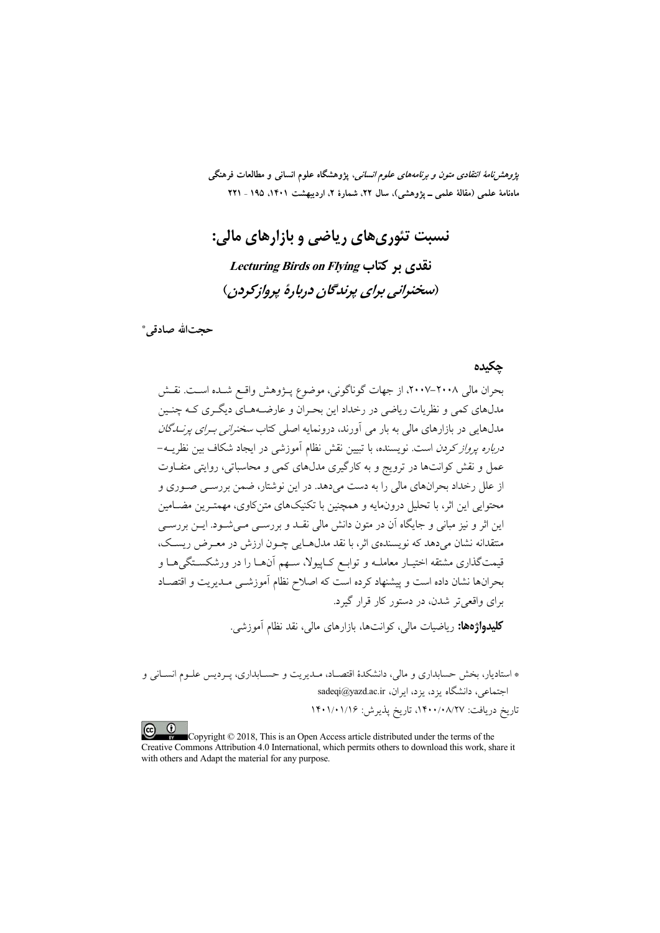*پژوهشنامهٔ انتقادی متون و برنامههای علوم انسانی،* پژوهشگاه علوم انسانی و مطالعات فرهنگی ماهنامهٔ علمی (مقالهٔ علمی ــ پژوهشی)، سال ۲۲، شمارهٔ ۲، اردیبهشت ۱۴۰۱، ۱۹۵ ـ ۲۲۱

نسبت تئوري هاي رياضي و بازارهاي مالي: Lecturing Birds on Flying تقدی بر کتاب (سخنداني براي پږندگان دربارهٔ پرواز کردن)

حجتالله صادقي \*

#### حكىدە

بحران مالی ۲۰۰۸–۲۰۰۷، از جهات گوناگونی، موضوع پـژوهش واقـع شـده اسـت. نقـش مدلهای کمی و نظریات ریاضی در رخداد این بحـران و عارضــههـای دیگـری کـه چنـین مدلهایی در بازارهای مال<sub>ی</sub> به بار می آورند، درونمایه اصلی کتاب *سخنرانی بـرای پرنــدگان درباره پرواز کردن* است. نویسنده، با تبیین نقش نظام آموزشی در ایجاد شکاف بین نظریــه− عمل و نقش کوانتها در ترویج و به کارگیری مدلهای کمی و محاسباتی، روایتی متفـاوت از علل رخداد بحرانهای مالی را به دست میدهد. در این نوشتار، ضمن بررسـی صـوری و محتوایی این اثر، با تحلیل درونِمایه و همچنین با تکنیکهای متن کاوی، مهمتـرین مضـامین این اثر و نیز مبانی و جایگاه آن در متون دانش مالی نقــد و بررســی مــیشــود. ایــن بررســی منتقدانه نشان می دهد که نویسندهی اثر، با نقد مدلهـایی چــون ارزش در معــرض ریســک، قیمتگذاری مشتقه اختیـار معاملــه و توابــع کــاییولا، ســهم آن&ـا را در ورشکســتگی&ــا و بحرانها نشان داده است و پیشنهاد کرده است که اصلاح نظام آموزشــی مــدیریت و اقتصــاد برای واقعه تر شدن، در دستور کار قرار گیرد.

**کلیدواژهها:** ریاضیات مالی، کوانتها، بازارهای مالی، نقد نظام آموزشی.

\* استادیار، بخش حسابداری و مالی، دانشکدهٔ اقتصـاد، مـدیریت و حسـابداری، پـردیس علـوم انسـانی و اجتماعی، دانشگاه یزد، یزد، ایران، sadeqi@yazd.ac.ir تاريخ دريافت: ١۴٠٠/٠٨/٢٧، تاريخ يذيرش: ١۴٠١/٠١/١۶

 $\left( \infty\right)$   $\left( 0\right)$ Copyright © 2018, This is an Open Access article distributed under the terms of the Creative Commons Attribution 4.0 International, which permits others to download this work, share it with others and Adapt the material for any purpose.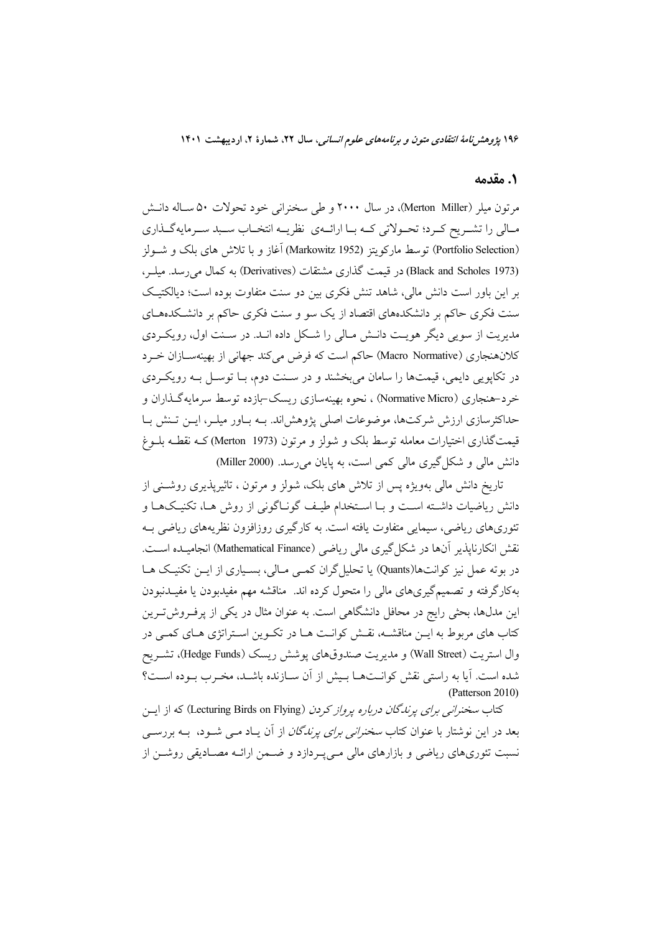۱۹۶ پژوهشرنامهٔ انتقادی متون و برنامههای علوم انسانی، سال ۲۲، شمارهٔ ۲، اردیبهشت ۱۴۰۱

#### 1. مقدمه

مرتون میلر (Merton Miller)، در سال ۲۰۰۰ و طی سخنرانی خود تحولات ۵۰ سـاله دانــش مـالي را تشـريح كـرد؛ تحـولاتي كـه بـا ارائــهي نظريــه انتخـاب سـبد سـرمايهگـذاري (Portfolio Selection) توسط ماركويتز (Markowitz 1952) آغاز و با تلاش هاي بلك و شــولز (Black and Scholes 1973) در قیمت گذاری مشتقات (Derivatives) به کمال می رسد. میلـر، بر اين باور است دانش مالي، شاهد تنش فكرى بين دو سنت متفاوت بوده است؛ ديالكتيك سنت فکری حاکم بر دانشکدههای اقتصاد از یک سو و سنت فکری حاکم بر دانشکدههای مدیریت از سویی دیگر هویت دانـش مـالی را شـكل داده انـد. در سـنت اول، رویكـردی كلانهنجاري (Macro Normative) حاكم است كه فرض مي كند جهاني از بهينهسـازان خـرد در تکاپویی دایمی، قیمتها را سامان میبخشند و در سـنت دوم، بــا توســل بــه رویکـردی خرد-هنجاري (Normative Micro) ، نحوه بهينهسازي ريسک-بازده توسط سرمايهگذاران و حداکثرسازی ارزش شرکتها، موضوعات اصلی پژوهش!ند. بــه بــاور میلــر، ایــن تــنش بــا قیمتگذاری اختیارات معامله توسط بلک و شولز و مرتون (Merton 1973) کـه نقطـه بلــوغ دانش مالی و شکل گیری مالی کمی است، به پایان می رسد. (Miller 2000)

تاریخ دانش مالی بهویژه پس از تلاش های بلک، شولز و مرتون ، تاثیریذیری روشــنی از دانش ریاضیات داشـته اسـت و بـا اسـتخدام طیـف گونـاگونی از روش هـا، تکنیـکهـا و تئوریهای ریاضی، سیمایی متفاوت یافته است. به کارگیری روزافزون نظریههای ریاضی بـه نقش انکارنایذیر آنها در شکل گیری مالی ریاضی (Mathematical Finance) انجامیــده اســت. در بوته عمل نیز کوانتها(Quants) یا تحلیل گران کمبی مـالی، بسـیاری از ایــن تکنیـک هــا بهکارگرفته و تصمیمگیریهای مالی را متحول کرده اند. مناقشه مهم مفیدبودن یا مفیـدنبودن این مدلها، بحثی رایج در محافل دانشگاهی است. به عنوان مثال در یکی از پرفـروش تـرین کتاب های مربوط به ایـن مناقشـه، نقـش کوانـت هـا در تکـوین اسـتراتژی هـای کمـی در وال استريت (Wall Street) و مديريت صندوقهاي يوشش ريسك (Hedge Funds)، تشـريح شده است. آيا به راستي نقش كوانـتهـا بـيش از آن سـازنده باشـد، مخـرب بـوده اسـت؟ (Patterson 2010)

کتاب سخنر*انی برای پرندگان درباره پرواز کردن* (Lecturing Birds on Flying) که از ایس بعد در این نوشتار با عنوان کتاب *سخنرانی برای پرندگان* از آن یــاد مــی شــود، بــه بررســی نسبت تئوریهای ریاضی و بازارهای مالی مےپردازد و ضـمن ارائـه مصـادیقی روشــن از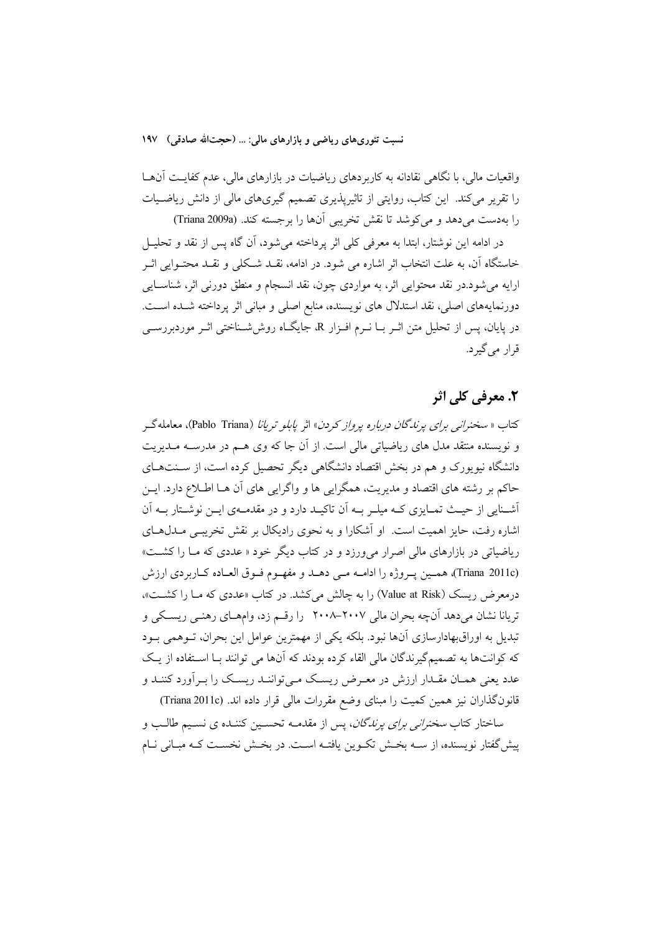نسبت تئوريهاي رياضي و بازارهاي مالي: … (حجتالله صادقي) ١٩٧

واقعیات مالی، با نگاهی نقادانه به کاربردهای ریاضیات در بازارهای مالی، عدم کفایـت آنهـا را تقریر میکند. این کتاب، روایتی از تاثیریذیری تصمیم گیریهای مالی از دانش ریاضیات را بهدست میدهد و میکوشد تا نقش تخریبی آنها را برجسته کند. (Triana 2009a)

در ادامه این نوشتار، ابتدا به معرفی کلی اثر یرداخته می شود، آن گاه پس از نقد و تحلیــل خاستگاه آن، به علت انتخاب اثر اشاره می شود. در ادامه، نقــد شــکلی و نقــد محتــوایی اثــر ارایه می شود.در نقد محتوایی اثر، به مواردی چون، نقد انسجام و منطق دورنی اثر، شناسـایی دورنمایههای اصلی، نقد استدلال های نویسنده، منابع اصلی و مبانی اثر پرداخته شـده اسـت. در پایان، پس از تحلیل متن اثــر بــا نــرم افــزار R، جایگــاه روش'شــناختی اثــر موردبررســی قرار مي گير د.

# ٢. معرفي کلي اثر

كتاب « سخنرانبي براي يرندگان درباره يرواز كردن» اثر يابلو تريانا (Pablo Triana)، معامله گ و نویسنده منتقد مدل های ریاضیاتی مالی است. از آن جا که وی هـم در مدرســه مــدیریت دانشگاه نیویورک و هم در بخش اقتصاد دانشگاهی دیگر تحصیل کرده است، از سـنتهـای حاکم بر رشته های اقتصاد و مدیریت، همگرایی ها و واگرایی های آن هـا اطـلاع دارد. ایــن أشـنايي از حيـث تمـايزي كـه ميلـر بـه اَن تاكيـد دارد و در مقدمـهي ايـن نوشـتار بــه اَن اشاره رفت، حایز اهمیت است. او آشکارا و به نحوی رادیکال بر نقش تخریبی مـدلهـای ریاضیاتی در بازارهای مالی اصرار می ورزد و در کتاب دیگر خود « عددی که مـا را کشـت» (Triana 2011c)، همين يـروژه را ادامـه مـى دهـد و مفهـوم فـوق العـاده كـاربردي ارزش درمعرض ریسک (Value at Risk) را به چالش میکشد. در کتاب «عددی که مـا را کشـت»، تریانا نشان می دهد آنچه بحران مالی ۲۰۰۷–۲۰۰۸٪ را رقسم زد، وامهـای رهنـی ریسـکی و تبدیل به اوراقبهادارسازی آنها نبود. بلکه یکی از مهمترین عوامل این بحران، تـوهمی بـود که کوانتها به تصمیمگیرندگان مالی القاء کرده بودند که آنها می توانند بـا اسـتفاده از یـک عدد یعنی همـان مقـدار ارزش در معـرض ریسـک مـیتواننـد ریسـک را بـراَورد کننـد و قانون گذاران نیز همین کمیت را مبنای وضع مقررات مالی قرار داده اند. (Triana 2011c)

ساختار کتاب *سخنرانی برای پرناگان*، پس از مقدمـه تحسـین کننـده ی نسـیم طالـب و پیش گفتار نویسنده، از ســه بخــش تکــوین یافتــه اســت. در بخــش نخســت کــه مبــانی نــام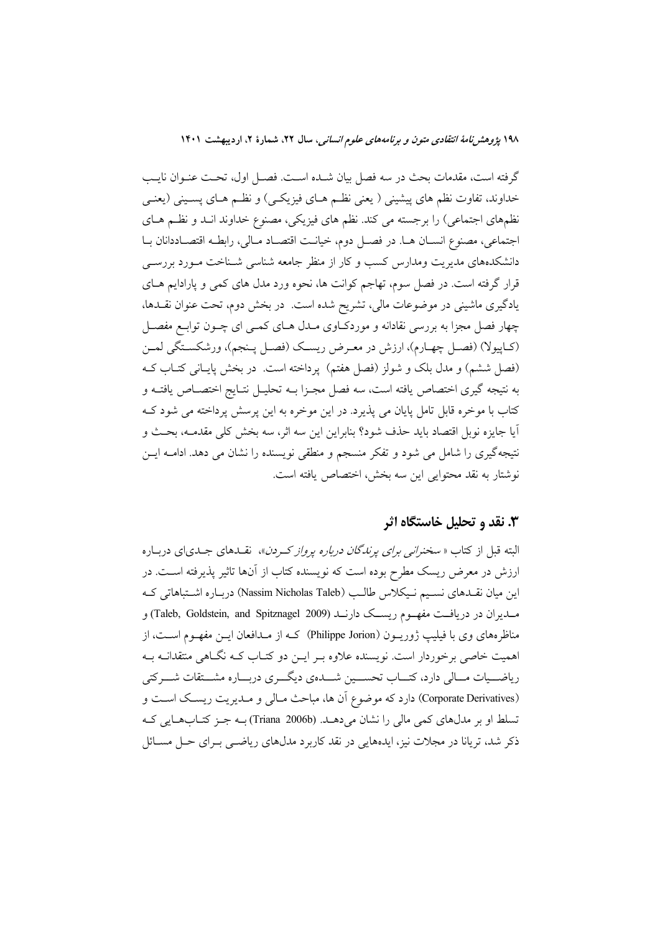۱۹۸ پژوهشرنامهٔ انتقادی متون و برنامههای علوم انسانی، سال ۲۲، شمارهٔ ۲، اردیبهشت ۱۴۰۱

گرفته است، مقدمات بحث در سه فصل بیان شـده اسـت. فصـل اول، تحـت عنـوان نایـب خداوند، تفاوت نظم هاي پيشيني ( يعني نظـم هــاي فيزيکـي) و نظــم هــاي پســيني (يعنــي نظمهای اجتماعی) را برجسته می کند. نظم های فیزیکی، مصنوع خداوند انـد و نظـم هـای اجتماعي، مصنوع انسان هـا. در فصـل دوم، خيانـت اقتصـاد مـالي، رابطـه اقتصـاددانان بـا دانشکدههای مدیریت ومدارس کسب و کار از منظر جامعه شناسی شـناخت مـورد بررســی قرار گرفته است. در فصل سوم، تهاجم کوانت ها، نحوه ورد مدل های کمی و پارادایم هـای یادگیری ماشینی در موضوعات مالی، تشریح شده است. در بخش دوم، تحت عنوان نقلدها، چهار فصل مجزا به بررسی نقادانه و موردکاوی مـدل هـای کمـی ای چـون توابـع مفصـل (كـاپيولا) (فصـل چهـارم)، ارزش در معـرض ريسـك (فصـل پـنجم)، ورشكسـتگي لمـن (فصل ششم) و مدل بلک و شولز (فصل هفتم) پرداخته است. در بخش پایـانی کتـاب کـه به نتيجه گيري اختصاص يافته است، سه فصل مجـزا بــه تحليــل نتــايج اختصــاص يافتــه و کتاب با موخره قابل تامل پایان می پذیرد. در این موخره به این پرسش پرداخته می شود ک آيا جايزه نوبل اقتصاد بايد حذف شود؟ بنابراين اين سه اثر، سه بخش كلي مقدمــه، بحـث و نتیجه گیری را شامل می شود و تفکر منسجم و منطقی نویسنده را نشان می دهد. ادامـه ایــن نوشتار به نقد محتوايي اين سه بخش، اختصاص يافته است.

## ۳. نقد و تحلیل خاستگاه اثر

البته قبل از کتاب « *سخنرانی برای یرندگان درباره پرواز کردن*»، نقــدهای جــدی|ی دربــاره ارزش در معرض ریسک مطرح بوده است که نویسنده کتاب از آنها تاثیر پذیرفته اسـت. در این میان نقـدهای نسـیم نـیکلاس طالـب (Nassim Nicholas Taleb) دربـاره اشـتباهاتی کـه مسدیران در دریافت مفهـوم ریســک دارنــد (Taleb, Goldstein, and Spitznagel 2009) و مناظرههای وی با فیلیپ ژوریــون (Philippe Jorion) کــه از مــدافعان ایــن مفهــوم اســت، از اهمیت خاصی برخوردار است. نویسنده علاوه بـر ایـن دو کتـاب کـه نگـاهی منتقدانـه بـه ریاضــیات مــالی دارد، كتــاب تحســین شــدهی دیگــری دربــاره مشــتقات شــركتی (Corporate Derivatives) دارد که موضوع آن ها، مباحث مـالي و مـديريت ريسـک اسـت و تسلط او بر مدلهای کمی مالی را نشان میدهـد. (Triana 2006b) بـه جـز کتـابهـایی کـه ذکر شد، تریانا در مجلات نیز، ایدههایی در نقد کاربرد مدلهای ریاضی بـرای حـل مســائل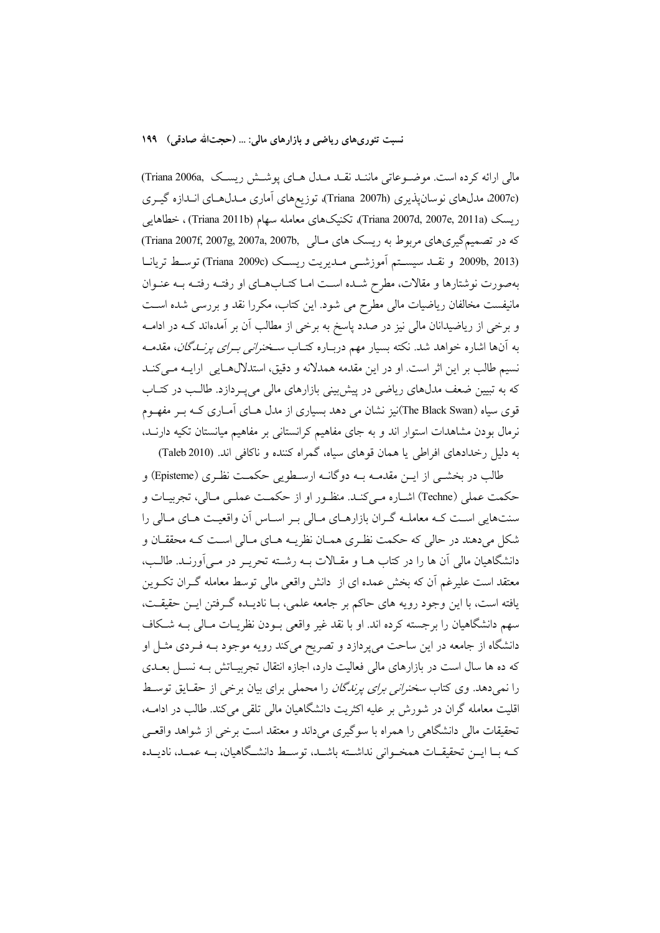#### نسبت تئوري،هاي رياضي و بازارهاي مالي: … (حجتالله صادقي) ١٩٩

مالی ارائه کرده است. موضوعاتی ماننـد نقـد مـدل هـای پوشـش ریسـک ,Triana 2006a (2007c مدلهای نوسان یذیری (Triana 2007h)، توزیعهای آماری مـدلهـای انـدازه گیـری ريسك (Triana 2007d, 2007e, 2011a)، تكنيكهاي معامله سهام (Triana 2011b)، خطاهايي كه در تصميم گيري هاي مربوط به ريسك هاي مـالي ,Triana 2007f, 2007g, 2007a, 2007b (2013 ,2009b و نقلد سيستم آموزش<sub>مي</sub> مــديريت ريسـك (Triana 2009c) توسـط تريانـا بهصورت نوشتارها و مقالات، مطرح شـده اسـت امـا كتـابهـاي او رفتـه رفتـه بــه عنـوان مانیفست مخالفان ریاضیات مالی مطرح می شود. این کتاب، مکررا نقد و بررسی شده است و برخی از ریاضیدانان مالی نیز در صدد پاسخ به برخی از مطالب آن بر آمدماند کــه در ادامــه به آنها اشاره خواهد شد. نکته بسیار مهم دربـاره کتــاب *ســخنرانـی بــرای پرنـــدگان*، مقدمــه نسیم طالب بر این اثر است. او در این مقدمه همدلانه و دقیق، استدلالهـایی ارایــه مــیکنــد که به تبیین ضعف مدلهای ریاضی در پیش بینی بازارهای مالی میپـردازد. طالـب در کتـاب قوی سیاه (The Black Swan)نیز نشان می دهد بسیاری از مدل هــای آمــاری کــه بــر مفهــوم نرمال بودن مشاهدات استوار اند و به جای مفاهیم کرانستانی بر مفاهیم میانستان تکیه دارنـد، به دلیل رخدادهای افراطی یا همان قوهای سیاه، گمراه کننده و ناکافی اند. (Taleb 2010)

طالب در بخشـي از ايــن مقدمــه بــه دوگانــه ارسـطويي حكمــت نظـري (Episteme) و حکمت عملی (Techne) اشـاره مـیکنـد. منظـور او از حکمـت عملـی مـالی، تجربیـات و سنتهایی است کـه معاملـه گـران بازارهـای مـالی بـر اسـاس آن واقعیـت هـای مـالی را شکل میدهند در حالی که حکمت نظری همـان نظریـه هـای مـالی اسـت کـه محققـان و دانشگاهیان مالی آن ها را در کتاب هـا و مقـالات بـه رشـته تحریـر در مـی آورنـد. طالـب، معتقد است علیرغم آن که بخش عمده ای از دانش واقعی مالی توسط معامله گـران تکــوین يافته است، با اين وجود رويه هاي حاكم بر جامعه علمي، بـا ناديــده گــرفتن ايــن حقيقــت، سهم دانشگاهیان را برجسته کرده اند. او با نقد غیر واقعی بــودن نظریــات مــالی بــه شــکاف دانشگاه از جامعه در این ساحت می پردازد و تصریح میکند رویه موجود بـه فـردی مثـل او که ده ها سال است در بازارهای مالی فعالیت دارد، اجازه انتقال تجربیـاتش بـه نسـل بعـدی را نمی دهد. وی کتاب *سخنرانی برای پرندگان* را محملی برای بیان برخی از حقـایق توسـط اقلیت معامله گران در شورش بر علیه اکثریت دانشگاهیان مالی تلقی می کند. طالب در ادامــه، تحقیقات مالی دانشگاهی را همراه با سوگیری می داند و معتقد است برخی از شواهد واقعـی كـه بــا ايــن تحقيقــات همخــواني نداشــته باشــد، توســط دانشــگاهيان، بــه عمــد، ناديــده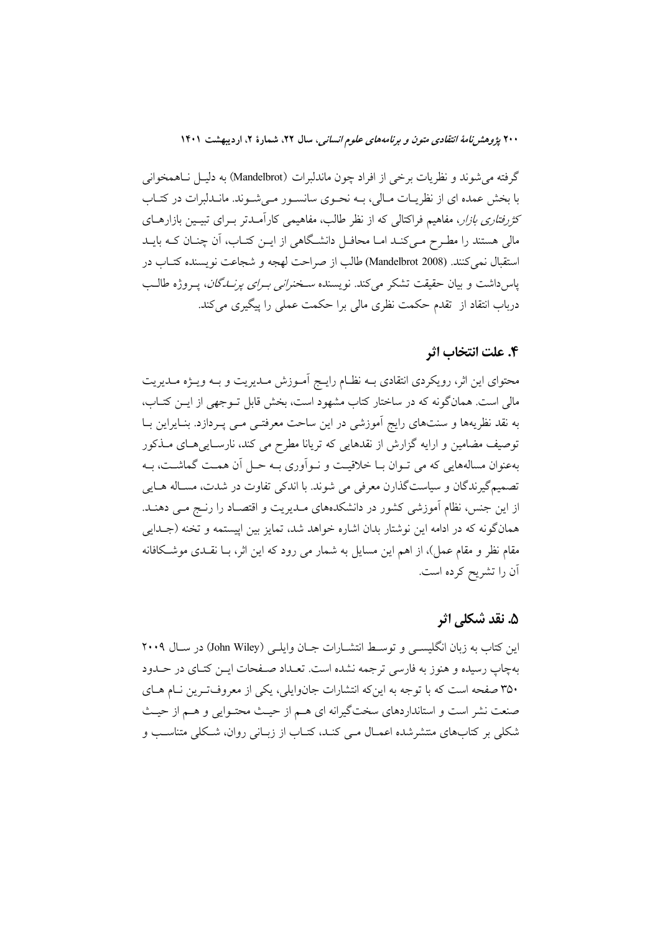۲۰۰ پژ*وهش نامهٔ انتقادی متون و برنامههای علوم انسانی،* سال ۲۲، شمارهٔ ۲، اردیبهشت ۱۴۰۱

گرفته می شوند و نظریات برخی از افراد چون ماندلبرات (Mandelbrot) به دلیـل نـاهمخوانی با بخش عمده ای از نظریـات مـالی، بــه نحـوی سانســور مــیشــوند. مانــدلبرات در کتــاب کثر*رفتاری بازار، مف*اهیم فراکتالی که از نظر طالب، مفاهیمی کارآمـدتر بـرای تبیـین بازارهـای مالی هستند را مطـرح مـیکنـد امـا محافـل دانشـگاهی از ایــن کتـاب، اَن چنــان کــه بایــد استقبال نمي كنند. (Mandelbrot 2008) طالب از صراحت لهجه و شجاعت نويسنده كتـاب در پاس(اشت و بیان حقیقت تشکر میکند. نویسنده *سخنرانی بـرای پرنـــاگان*، پــروژه طالــب درباب انتقاد از تقدم حکمت نظری مالی برا حکمت عملی را پیگیری میکند.

### ۴. علت انتخاب اثر

محتوای این اثر، رویکردی انتقادی بـه نظـام رایـج آمـوزش مـدیریت و بـه ویـژه مـدیریت مالی است. همانگونه که در ساختار کتاب مشهود است، بخش قابل تـوجهی از ایـن کتـاب، به نقد نظریهها و سنتهای رایج آموزشی در این ساحت معرفتـی مـی پـردازد. بنـایراین بـا توصیف مضامین و ارایه گزارش از نقدهایی که تریانا مطرح می کند، نارسـایی۵حای مـذکور بهعنوان مسالههایی که می تـوان بــا خلاقیــت و نــواَوری بــه حــل اَن همــت گماشــت، بــه تصمیم گیرندگان و سیاستگذارن معرفی می شوند. با اندکی تفاوت در شدت، مسـاله هــایی از این جنس، نظام آموزشی کشور در دانشکدههای مـدیریت و اقتصـاد را رنــج مــی دهنــد. همانگونه که در ادامه این نوشتار بدان اشاره خواهد شد، تمایز بین اپیستمه و تخنه (جـدایی مقام نظر و مقام عمل)، از اهم این مسایل به شمار می رود که این اثر، بــا نقــدی موشــکافانه أن را تشريح كرده است.

## ۵. نقد شکلی اثر

این کتاب به زبان انگلیسهی و توسط انتشــارات جــان وایلــی (John Wiley) در ســال ۲۰۰۹ بهچاپ رسیده و هنوز به فارسی ترجمه نشده است. تعـداد صـفحات ایـن کتـای در حـدود ۳۵۰ صفحه است که با توجه به اینکه انتشارات جانوایلی، یکی از معروفترین نـام هـای صنعت نشر است و استانداردهای سختگیرانه ای هـم از حیـث محتـوایی و هـم از حیـث شکلی بر کتابهای منتشرشده اعمـال مـی کنـد، کتـاب از زبـانی روان، شـکلی متناسـب و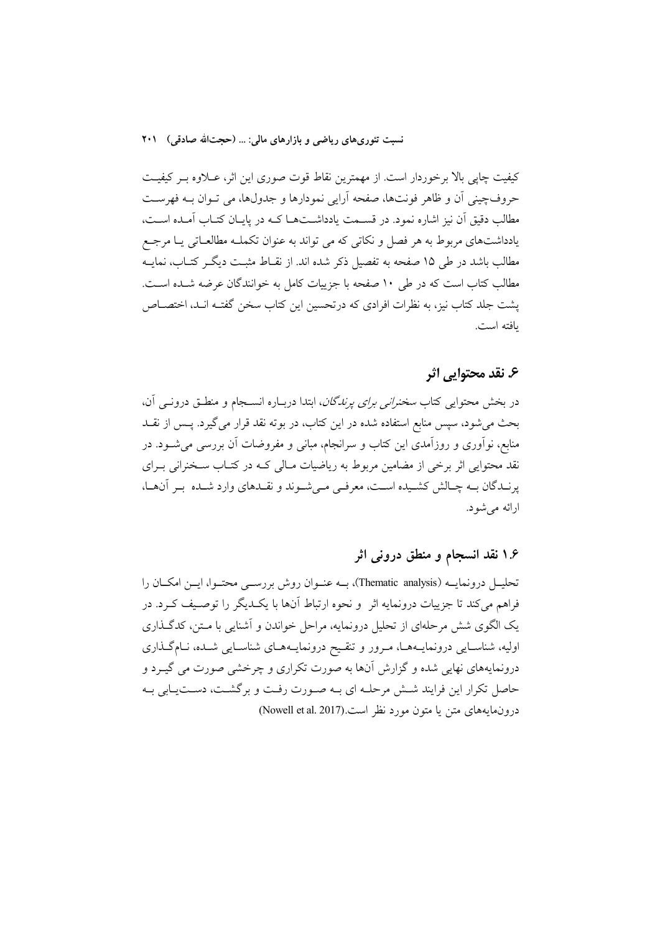نسبت تئوري هاي رياضي و بازارهاي مالي: … (حجتالله صادقي) ٢٠١

كيفيت چاپي بالا برخوردار است. از مهمترين نقاط قوت صورى اين اثر، عــلاوه بــر كيفيــت حروفچینی اَن و ظاهر فونتها، صفحه اَرایی نمودارها و جدولها، می تــوان بــه فهرســت مطالب دقیق آن نیز اشاره نمود. در قســمت یادداشــتهــا کــه در پایــان کتــاب آمــده اســت، یادداشتهای مربوط به هر فصل و نکاتی که می تواند به عنوان تکملـه مطالعـاتی یـا مرجـع مطالب باشد در طی ۱۵ صفحه به تفصیل ذکر شده اند. از نقــاط مثبــت دیگــر کتــاب، نمایــه مطالب کتاب است که در طی ۱۰ صفحه با جزییات کامل به خوانندگان عرضه شـده اسـت. پشت جلد کتاب نیز، به نظرات افرادی که درتحسین این کتاب سخن گفتـه انـد، اختصــاص بافته است.

## ع. نقد محتوایی اثر

در بخش محتوایی کتاب *سخنرانی برای پرندگان*، ابتدا دربـاره انســجام و منطــق درونــی آن، بحث می شود، سپس منابع استفاده شده در این کتاب، در بوته نقد قرار می گیرد. پــس از نقــد منابع، نواّوری و روزاّمدی این کتاب و سرانجام، مبانی و مفروضات اَن بررسی میشــود. در نقد محتوایی اثر برخی از مضامین مربوط به ریاضیات مـالی کـه در کتـاب سـخنرانی بـرای پرنیدگان بیه چیالش کشیده است، معرفی می شوند و نقیدهای وارد شیده بیر آنهیا، ارائه می شود.

# ۱.۶ نقد انسجام و منطق درونی اثر

تحليــل درونمايــه (Thematic analysis)، بــه عنــوان روش بررســي محتــوا، ايــن امكــان را فراهم مي كند تا جزييات درونمايه اثر ً و نحوه ارتباط أنها با يكـديگر را توصـيف كـرد. در یک الگوی شش مرحلهای از تحلیل درونمایه، مراحل خواندن و آشنایی با مـتن، کدگـذاری اولیه، شناسـایی درونمایـههـا، مـرور و تنقـیح درونمایـههـای شناسـایی شـده، نـامگـذاری درونمایههای نهایی شده و گزارش آنها به صورت تکراری و چرخشی صورت می گیـرد و حاصل تکرار این فرایند شش مرحله ای بـه صـورت رفـت و برگشـت، دسـتیـابی بـه درونمايههاي متن يا متون مورد نظر است.(Nowell et al. 2017)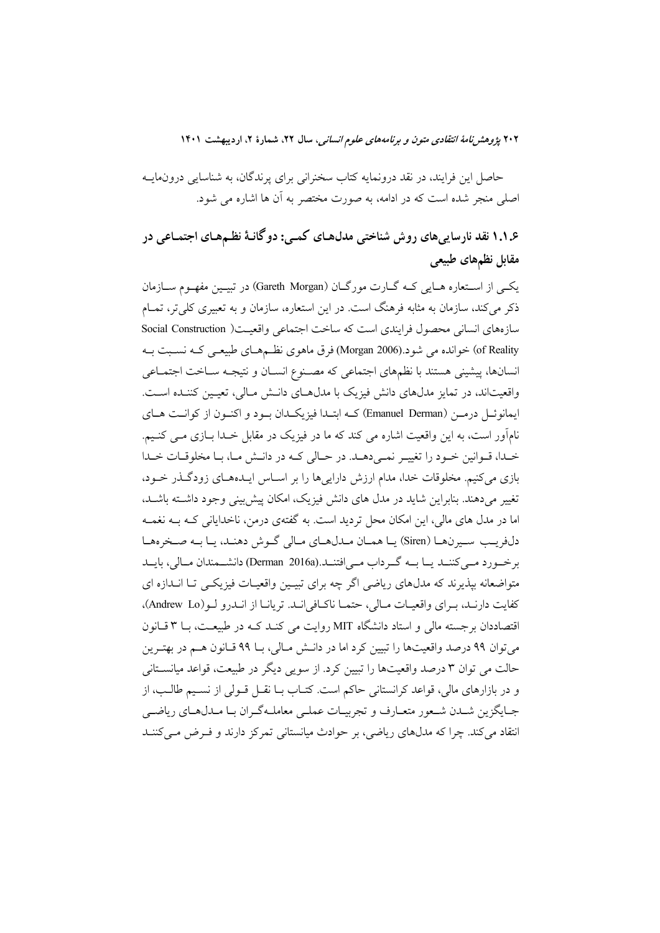۲۰۲ پژوهشر *نامهٔ انتقادی متون و برنامههای علوم انسانی*، سال ۲۲، شمارهٔ ۲، اردیبهشت ۱۴۰۱

حاصل این فرایند، در نقد درونمایه کتاب سخنرانی برای پرندگان، به شناسایی درونمایــه اصلی منجر شده است که در ادامه، به صورت مختصر به آن ها اشاره می شود.

۱.۱.۶ نقد نارسایی های روش شناختی مدل هـای کمـی: دو گانـهٔ نظـمهـای اجتمـاعی در مقابل نظمهای طبیعی

یکبی از استعاره هبایی کبه گبارت مورگبان (Gareth Morgan) در تبیتین مفهوم سبازمان ذکر میکند، سازمان به مثابه فرهنگ است. در این استعاره، سازمان و به تعبیری کلیتر، تمـام سازههاي انساني محصول فرايندي است كه ساخت اجتماعي واقعيت( Social Construction of Reality) خوانده می شود.(Morgan 2006) فرق ماهوی نظـمهـای طبیعـی کـه نسـبت بـه انسانها، پیشینی هستند با نظمهای اجتماعی که مصـنوع انسـان و نتیجـه سـاخت اجتمـاعی واقعیتاند، در تمایز مدلهای دانش فیزیک با مدلهای دانـش مـالی، تعیـین کننـده اسـت. ايمانوئـل درمـن (Emanuel Derman) كــه ابتـدا فيزيكــدان بــود و اكنــون از كوانــت هــاي نامآور است، به این واقعیت اشاره می کند که ما در فیزیک در مقابل خـدا بــازی مــی کنــیم. خيدا، قيوانين خيود را تغيير نمي دهيد. در حيالي كيه در دانيش ميا، بيا مخلوقيات خيدا بازی می کنیم. مخلوقات خدا، مدام ارزش دارایی ها را بر اسـاس ایـدههـای زودگـذر خـود، تغییر می دهند. بنابراین شاید در مدل های دانش فیزیک، امکان پیش پینی وجود داشته باشـد، اما در مدل های مالی، این امکان محل تردید است. به گفتهی درمن، ناخدایانی کـه بــه نغمــه دلفريب سيرنها (Siren) يا همان مـدلهـاي مـالي گـوش دهنـد، يـا بـه صـخرههـا برخورد ملي كننــد يــا بــه گــرداب مــي|فتنــد.(Derman 2016a) دانشـــمندان مــالي، بايــد متواضعانه بپذیرند که مدلهای ریاضی اگر چه برای تبیـین واقعیـات فیزیکـی تـا انــدازه ای كفايت دارنيد، بيراي واقعيبات مبالي، حتميا ناكبافي انيد. تريانيا از انيدرو ليو (Andrew Lo)، اقتصاددان برجسته مالی و استاد دانشگاه MIT روایت می کنـد کـه در طبیعـت، بـا ۳ قـانون مي توان ٩٩ درصد واقعيتها را تبيين كرد اما در دانــش مــالي، بــا ٩٩ قــانون هــم در بهتــرين حالت می توان ۳ درصد واقعیتها را تبیین کرد. از سویی دیگر در طبیعت، قواعد میانستانی و در بازارهای مالی، قواعد کرانستانی حاکم است. کتـاب بــا نقــل قــولی از نســيم طالــب، از جبايگزين شيدن شيعور متعبارف و تجربيبات عملي معامليه گيران بيا ميدل هياي رياضي انتقاد می کند. چرا که مدلهای ریاضی، بر حوادث میانستانی تمرکز دارند و فـرض مـی کننــد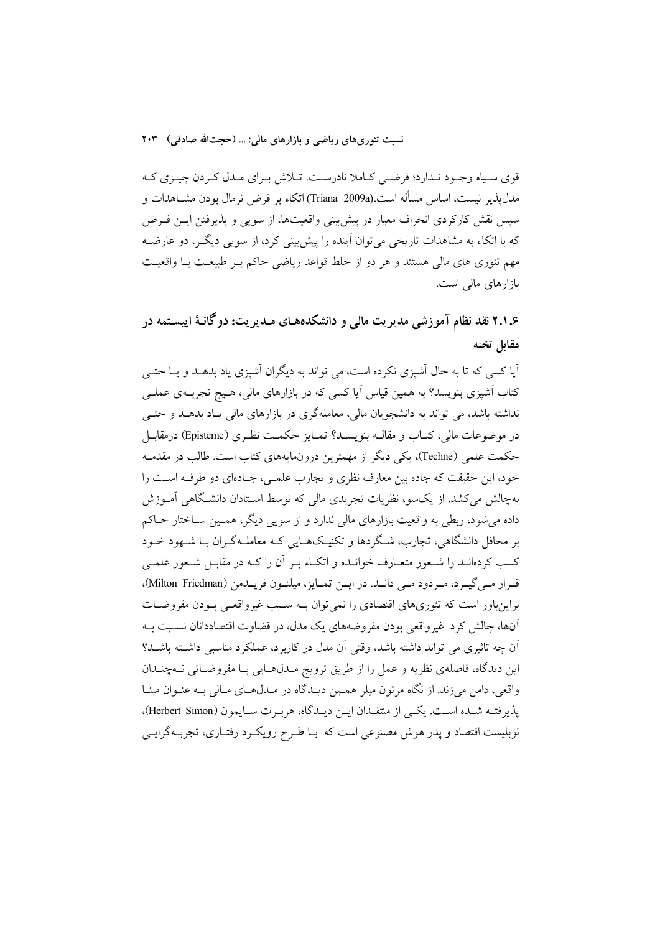نسبت تئوري هاي رياضي و بازارهاي مالي: … (حجتالله صادقي) ٢٠٣

قوي سياه وجـود نـدارد؛ فرضـي كـاملا نادرسـت. تـلاش بـراي مـدل كـردن چيـزي كـه مدلیذیر نیست، اساس مسأله است.(Triana 2009a) اتکاء بر فرض نرمال بودن مشــاهدات و سپس نقش کارکردی انحراف معیار در پیش بینی واقعیتها، از سویبی و پذیرفتن ایــن فــرض که با اتکاء به مشاهدات تاریخی می توان آینده را پیش بینی کرد، از سویی دیگـر، دو عارضـه مهم تئوری های مالی هستند و هر دو از خلط قواعد ریاضی حاکم بـر طبیعـت بـا واقعیـت بازارهای مالی است.

۲.۱.۶ نقد نظام آموزشی مدیریت مالی و دانشکدههـای مـدیریت: دوگانـهٔ اییسـتمه در مقابل تخنه

آیا کسی که تا به حال اَشیزی نکرده است، می تواند به دیگران اَشیزی یاد بدهـد و یـا حتـی کتاب آشیزی بنویسد؟ به همین قیاس آیا کسی که در بازارهای مالی، هـیچ تجربـهی عملـی نداشته باشد، می تواند به دانشجویان مالی، معاملهگری در بازارهای مالی یـاد بدهــد و حتــی در موضوعات مالي، كتــاب و مقالــه بنويســد؟ تمــايز حكمــت نظـري (Episteme) درمقابــل حکمت علمی (Techne)، یکی دیگر از مهمترین درونمایههای کتاب است. طالب در مقدمـه خود، این حقیقت که جاده بین معارف نظری و تجارب علمـی، جـادهای دو طرفـه اسـت را بهچالش می کشد. از یکسو، نظریات تجریدی مالی که توسط اسـتادان دانشـگاهی آمــوزش داده می شود، ربطی به واقعیت بازارهای مالی ندارد و از سویی دیگر، همـین ســاختار حــاکم بر محافل دانشگاهی، تجارب، شـگردها و تکنیـک&ـایی کـه معاملـهگـران بـا شـهود خــود کسب کردهانــد را شــعور متعــارف خوانــده و اتکــاء بــر آن را کــه در مقابــل شــعور علمــي قرار مبي گيرد، مردود مبي دانـد. در ايـن تمـايز، ميلتـون فريـدمن (Milton Friedman)، براینباور است که تئوریهای اقتصادی را نمی توان بـه سـبب غیرواقعـی بـودن مفروضـات آنها، چالش کرد. غیرواقعی بودن مفروضههای یک مدل، در قضاوت اقتصاددانان نسبت بـه آن چه تاثیری می تواند داشته باشد، وقتی آن مدل در کاربرد، عملکرد مناسبی داشته باشـد؟ این دیدگاه، فاصلهی نظریه و عمل را از طریق ترویج مـدلهـایی بـا مفروضـاتی نـهچنـدان واقعی، دامن می زند. از نگاه مرتون میلر همـین دیـدگاه در مـدلهـای مـالی بـه عنـوان مبنـا يذيرفتـه شـده اسـت. يكـي از منتقـدان ايـن ديـدگاه، هربـرت سـايمون (Herbert Simon)، نوبلیست اقتصاد و پدر هوش مصنوعی است که بـا طـرح رویکـرد رفتـاری، تجربـهگرایـی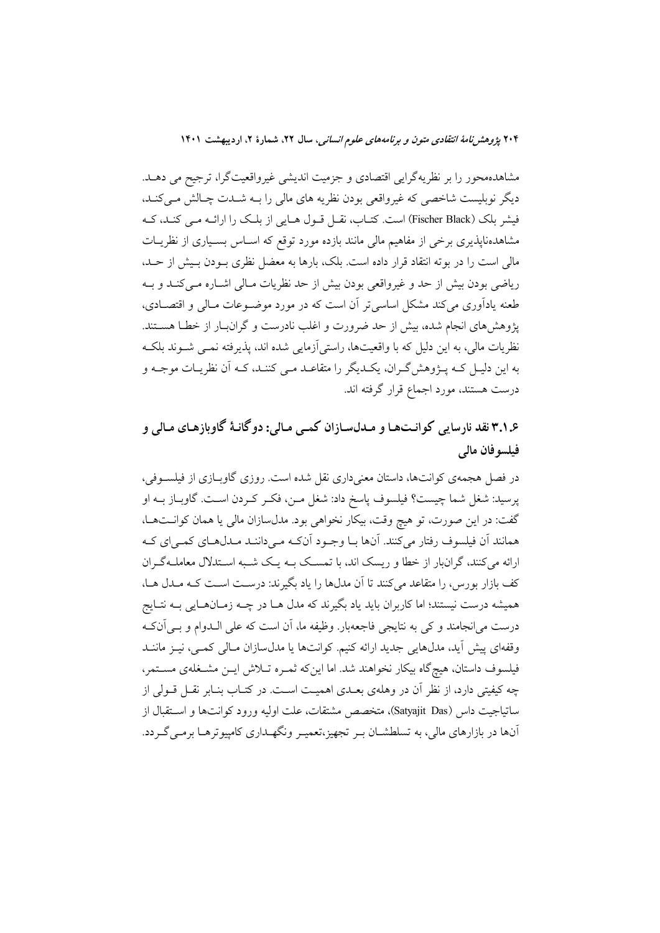۲۰۴ پژوهشر *نامهٔ انتقادی متون و برنامههای علوم انسانی*، سال ۲۲، شمارهٔ ۲، اردیبهشت ۱۴۰۱

مشاهدهمحور را بر نظریهگرایی اقتصادی و جزمیت اندیشی غیرواقعیتگرا، ترجیح می دهــد. دیگر نوبلیست شاخصی که غیرواقعی بودن نظریه های مالی را بـه شــدت چـالش مــیکنــد، فیشر بلک (Fischer Black) است. کتـاب، نقــل قــول هــایی از بلــک را ارائــه مــی کنــد، کــه مشاهدهناپذیری برخی از مفاهیم مالی مانند بازده مورد توقع که اسـاس بسـیاری از نظریـات مالی است را در بوته انتقاد قرار داده است. بلک، بارها به معضل نظری بــودن بــیش از حــد، ریاضی بودن بیش از حد و غیرواقعی بودن بیش از حد نظریات مـالی اشـاره مـیکنـد و بـه طعنه یادآوری می کند مشکل اساسی تر آن است که در مورد موضـوعات مـالی و اقتصـادی، یژوهش های انجام شده، بیش از حد ضرورت و اغلب نادرست و گران بار از خطـا هســتند. نظریات مالی، به این دلیل که با واقعیتها، راستی[زمایی شده اند، پذیرفته نمـی شـوند بلکـه به این دلیـل کـه پــژوهش2ــران، یکــدیگر را متقاعــد مــی کننــد، کــه اَن نظریــات موجــه و درست هستند، مورد اجماع قرار گرفته اند.

۳.۱.۶ نقد نارسایی کوانتها و مـدلسـازان کمـی مـالی: دوگانـهٔ گاوبازهـای مـالی و فيلسو فان مالى

در فصل هجمه ی کوانتها، داستان معنیداری نقل شده است. روزی گاوبـازی از فیلســوفی، پرسید: شغل شما چیست؟ فیلسوف پاسخ داد: شغل مــن، فکــر کــردن اســت. گاوبــاز بــه او گفت: در این صورت، تو هیچ وقت، بیکار نخواهی بود. مدلسازان مالی یا همان کوانتها، همانند أن فيلسوف رفتار مى كنند. أنها بـا وجـود أنكـه مـىداننـد مـدلهـاى كمـىاى كـه ارائه میکنند، گرانبار از خطا و ریسک اند، با تمسک بـه یـک شـبه اسـتدلال معاملـهگـران کف بازار بورس، را متقاعد میکنند تا آن مدلها را یاد بگیرند: درست است کـه مـدل هـا، همیشه درست نیستند؛ اما کاربران باید یاد بگیرند که مدل هــا در چــه زمــانهــایی بــه نتــایج درست می|نجامند و کی به نتایجی فاجعهبار. وظیفه ما، آن است که علی الـدوام و بـیآنکـه وقفهای پیش آید، مدلهایی جدید ارائه کنیم. کوانتها یا مدلسازان مـالی کمـی، نیـز ماننــد فیلسوف داستان، هیچگاه بیکار نخواهند شد. اما اینکه ثمـره تــلاش ایــن مشــغلهی مســتمر، چه کیفیتی دارد، از نظر آن در وهلهی بعـدی اهمیـت اسـت. در کتـاب بنـابر نقـل قــولی از ساتياجيت داس (Satyajit Das)، متخصص مشتقات، علت اوليه ورود كوانتها و استقبال از آنها در بازارهای مالی، به تسلطشــان بــر تجهیز،تعمیــر ونگهــداری کامپیوترهــا برمــی گــردد.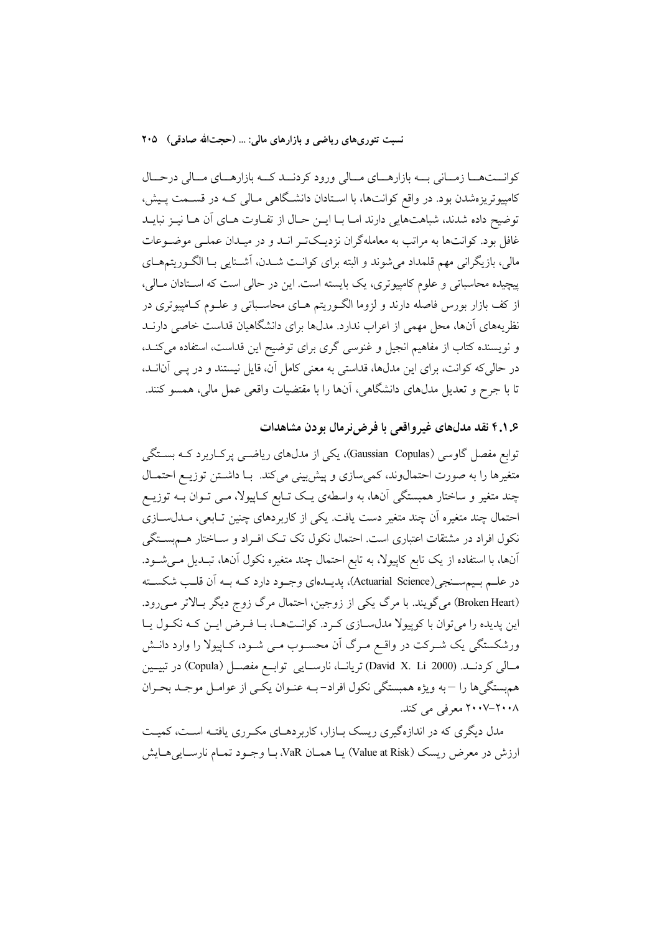نسبت تئوريهاي رياضي و بازارهاي مالي: … (حجتالله صادقي) ٢٠٥

کوانستهما زمانی به بازارهای مالی ورود کردند که بازارهای مالی درحال کامپیوتریزهشدن بود. در واقع کوانتها، با استادان دانشگاهی مـالی کـه در قسـمت پـیش، توضيح داده شدند، شباهتهايي دارند امـا بـا ايـن حـال از تفـاوت هـاي آن هـا نيـز نبايـد غافل بود. کوانتها به مراتب به معاملهگران نزدیکتر انـد و در میـدان عملـی موضـوعات مالي، بازيگراني مهم قلمداد مي شوند و البته براي كوانـت شــدن، آشــنايي بــا الگــوريتمهــاي پیچیده محاسباتی و علوم کامپیوتری، یک بایسته است. این در حالی است که استادان مـالی، از کف بازار بورس فاصله دارند و لزوما الگـوریتم هـای محاسـباتی و علـوم کـامپیوتری در نظریههای آنها، محل مهمی از اعراب ندارد. مدلها برای دانشگاهیان قداست خاصی دارنــد و نویسنده کتاب از مفاهیم انجیل و غنوسی گری برای توضیح این قداست، استفاده میکند، در حالی که کوانت، برای این مدلها، قداستی به معنی کامل آن، قایل نیستند و در پــی آنانــد، تا با جرح و تعدیل مدلهای دانشگاهی، آنها را با مقتضیات واقعی عمل مالی، همسو کنند.

## ۴.۱.۶ نقد مدلهای غیرواقعی با فرض نرمال بودن مشاهدات

توابع مفصل گاوسی (Gaussian Copulas)، یکی از مدلهای ریاضـبی پرکـاربرد کــه بسـتگی متغیرها را به صورت احتمال وند، کمی سازی و پیش بینی میکند. بـا داشـتن توزیـع احتمـال چند متغیر و ساختار همبستگی آنها، به واسطهی یک تـابع کـاپیولا، مـی تـوان بــه توزیــع احتمال چند متغیره اّن چند متغیر دست یافت. یکی از کاربردهای چنین تـابعی، مـدلســازی نکول افراد در مشتقات اعتباری است. احتمال نکول تک تـک افـراد و ســاختار هــمبســتگی آنها، با استفاده از یک تابع کاپیولا، به تابع احتمال چند متغیره نکول آنها، تبـدیل مـیشـود. در علـم بـيمسـنجي(Actuarial Science)، پديــدهاي وجــود دارد كــه بــه آن قلــب شكســته (Broken Heart) میگویند. با مرگ یکی از زوجین، احتمال مرگ زوج دیگر بالاتر می رود. این پدیده را میتوان با کوپیولا مدل سازی کرد. کوانتها، با فرض این که نکول یا ورشکستگی یک شـرکت در واقـع مـرگ آن محسـوب مـی شـود، کـاپیولا را وارد دانـش مسالي كردنــد. (David X. Li 2000) تريانــا، نارســايي توابــع مفصــل (Copula) در تبيــين هم بستگيرها را –به ويژه همبستگي نكول افراد-بـه عنـوان يكـي از عوامـل موجـد بحـران ۲۰۰۸–۲۰۰۷ معرفی می کند.

مدل دیگری که در اندازهگیری ریسک بـازار، کاربردهـای مکـرری یافتـه اسـت، کمیـت ارزش در معرض ريسك (Value at Risk) يـا همـان VaR، بـا وجـود تمـام نارسـاييهـايش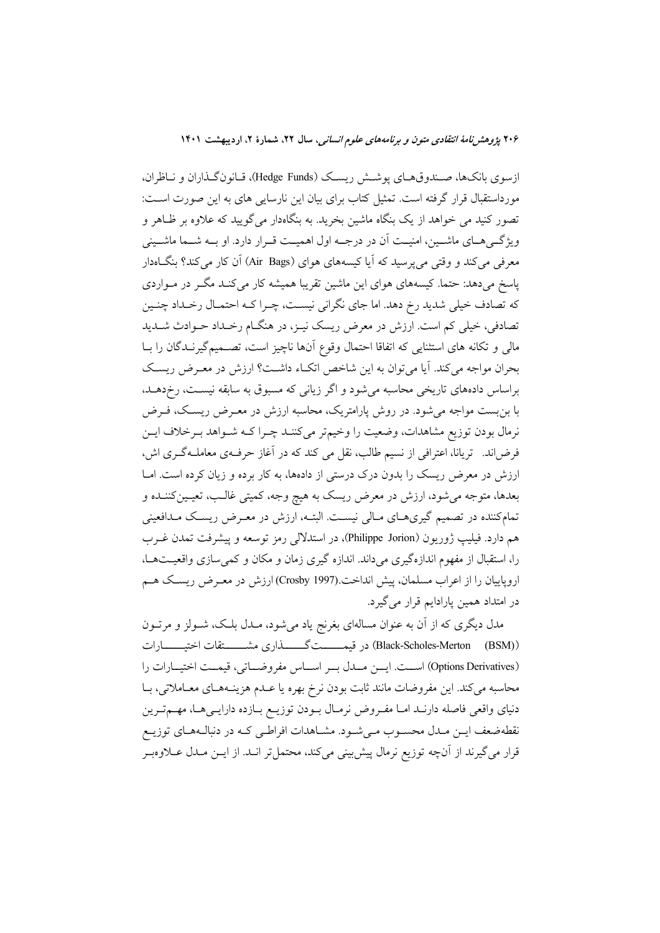۲۰۶ پژوهشر *نامهٔ انتقادی متون و برنامههای علوم انسانی*، سال ۲۲، شمارهٔ ۲، اردیبهشت ۱۴۰۱

ازسوی بانکها، صـندوقهـای پوشـش ريسـک (Hedge Funds)، قـانونگـذاران و نـاظران، مورداستقبال قرار گرفته است. تمثیل کتاب برای بیان این نارسایی های به این صورت اسـت: تصور کنید می خواهد از یک بنگاه ماشین بخرید. به بنگاهدار میگویید که علاوه بر ظـاهر و ویژگے هـای ماشــین، امنیــت اَن در درجــه اول اهمیــت قــرار دارد. او بــه شــما ماشــینی معرفی میکند و وقتی می پرسید که آیا کیسههای هوای (Air Bags) آن کار میکند؟ بنگاهدار پاسخ میدهد: حتما. کیسههای هوای این ماشین تقریبا همیشه کار میکند مگـر در مـواردی که تصادف خیلی شدید رخ دهد. اما جای نگرانی نیسـت، چـرا کـه احتمـال رخـداد چنـین تصادفی، خیلی کم است. ارزش در معرض ریسک نیـز، در هنگـام رخـداد حـوادث شـدید مالی و تکانه های استثنایی که اتفاقا احتمال وقوع آنها ناچیز است، تصـمیمگیرنـدگان را بـا بحران مواجه می کند. آیا می توان به این شاخص اتکء داشت؟ ارزش در معـرض ریسـک براساس دادههای تاریخی محاسبه میشود و اگر زیانی که مسبوق به سابقه نیست، رخدهــد، با بن بست مواجه می شود. در روش پارامتریک، محاسبه ارزش در معـرض ریسـک، فـرض نرمال بودن توزیع مشاهدات، وضعیت را وخیمتر میکننـد چـرا کــه شـواهد بــرخلاف ایــن فرضاند. تریانا، اعترافی از نسیم طالب، نقل می کند که در آغاز حرف۵ی معاملـهگـری اش، ارزش در معرض ریسک را بدون درک درستی از دادهها، به کار برده و زیان کرده است. امـا بعدها، متوجه میشود، ارزش در معرض ریسک به هیچ وجه، کمیتی غالـب، تعیـینکننـده و تمامکننده در تصمیم گیریهـای مـالی نیسـت. البتــه، ارزش در معـرض ریسـک مـدافعینی هم دارد. فيليپ ژوريون (Philippe Jorion)، در استدلالي رمز توسعه و پيشرفت تمدن غـرب را، استقبال از مفهوم اندازهگیری میداند. اندازه گیری زمان و مکان و کمیسازی واقعیتها، اروپاییان را از اعراب مسلمان، پیش انداخت.(Crosby 1997) ارزش در معـرض ریسـک هـم در امتداد همین پارادایم قرار می گیرد.

مدل دیگری که از آن به عنوان مسالهای بغرنج یاد میشود، مــدل بلـک، شــولز و مرتــون (Black-Scholes-Merton (BSM)) در قیمــــــتگـــــــــذاری مشـــــــتقات اختیـــــــارات (Options Derivatives) است. ايسن مسلال بسر اسساس مفروضساتي، قيمت اختيسارات را محاسبه مي كند. اين مفروضات مانند ثابت بودن نرخ بهره يا عـدم هزينــههـاي معــاملاتي، بــا دنیای واقعی فاصله دارنـد امـا مفـروض نرمـال بـودن توزیـع بـازده دارایـیهـا، مهـمترین نقطهضعف ایـن مـدل محسـوب مـیشـود. مشـاهدات افراطـی کـه در دنبالـههـای توزیـع قرار میگیرند از آنچه توزیع نرمال پیش بینی میکند، محتمل تر انــد. از ایــن مــدل عــلاوهبــر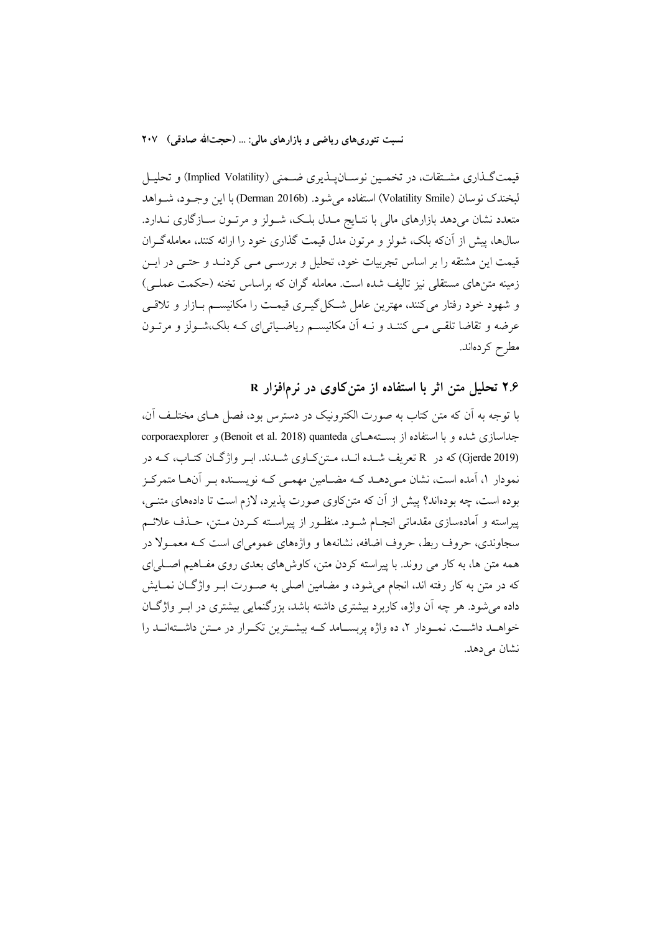نسبت تئوري،هاي رياضي و بازارهاي مالي: … (حجتالله صادقي) ٢٠٧

قیمتگـذاری مشـتقات، در تخمـین نوسـانپـذیری ضـمنی (Implied Volatility) و تحلیـل لبخندك نوسان (Volatility Smile) استفاده مي شود. (Derman 2016b) با اين وجـود، شـواهد متعدد نشان میدهد بازارهای مالی با نتـایج مـدل بلـک، شـولز و مرتـون سـازگاری نـدارد. سال@ا، پیش از آنکه بلک، شولز و مرتون مدل قیمت گذاری خود را ارائه کنند، معاملهگـران قیمت این مشتقه را بر اساس تجربیات خود، تحلیل و بررسـی مـی کردنـد و حتـی در ایـن زمینه متنهای مستقلی نیز تالیف شده است. معامله گران که براساس تخنه (حکمت عملـی) و شهود خود رفتار میکنند، مهترین عامل شکل گیــری قیمــت را مکانیســم بــازار و تلاقــی عرضه و تقاضا تلقبي مبي كننـد و نــه أن مكانيســم رياضـياتي|ي كــه بلك،شــولز و مرتــون مطرح كردەاند.

۲.۶ تحلیل متن اثر با استفاده از متن کاوی در نرمافزار R

با توجه به اّن که متن کتاب به صورت الکترونیک در دسترس بود، فصل هـای مختلـف اّن، جداسازی شده و با استفاده از بستههـای Benoit et al. 2018) quanteda) و corporaexplorer (Gjerde 2019) که در R تعریف شیده انید، متن کیاوی شیدند. این واژگیان کتیاب، کیه در نمودار ۱، آمده است، نشان مے دھـد کـه مضـامین مهمـی کـه نویسـنده بـر آنهـا متمرکـز بوده است، چه بودهاند؟ پیش از آن که متنکاوی صورت پذیرد، لازم است تا دادههای متنبی، پیراسته و آمادهسازی مقدماتی انجـام شـود. منظـور از پیراسـته کـردن مـتن، حـذف علائـم سجاوندی، حروف ربط، حروف اضافه، نشانهها و واژههای عمومی ای است کـه معمـولا در همه متن ها، به کار می روند. با پیراسته کردن متن، کاوشهای بعدی روی مفـاهیم اصـلی|ی که در متن به کار رفته اند، انجام میشود، و مضامین اصلی به صـورت ابـر واژگـان نمـایش داده میشود. هر چه اَن واژه، کاربرد بیشتری داشته باشد، بزرگنمایی بیشتری در ابـر واژگـان خواهــد داشــت. نمــودار ۲، ده واژه پربســامد كــه بيشــترين تكــرار در مــتن داشــتهانــد را نشان مے دھد.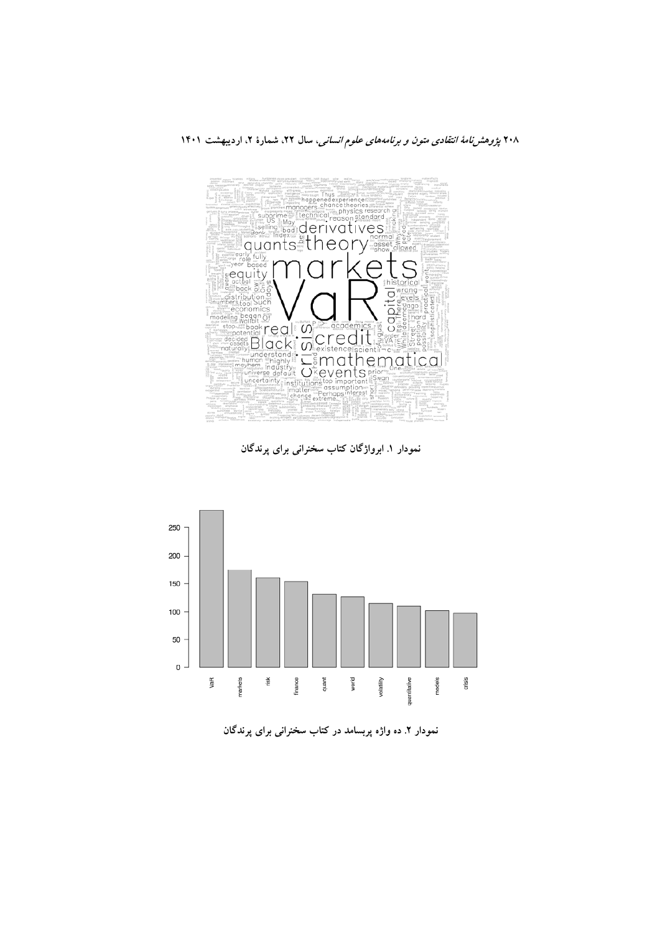

نمودار ۱. ابرواژگان کتاب سخنرانی برای پرندگان



نمودار ۲ـ ده واژه پربسامد در کتاب سخنرانی برای پرندگان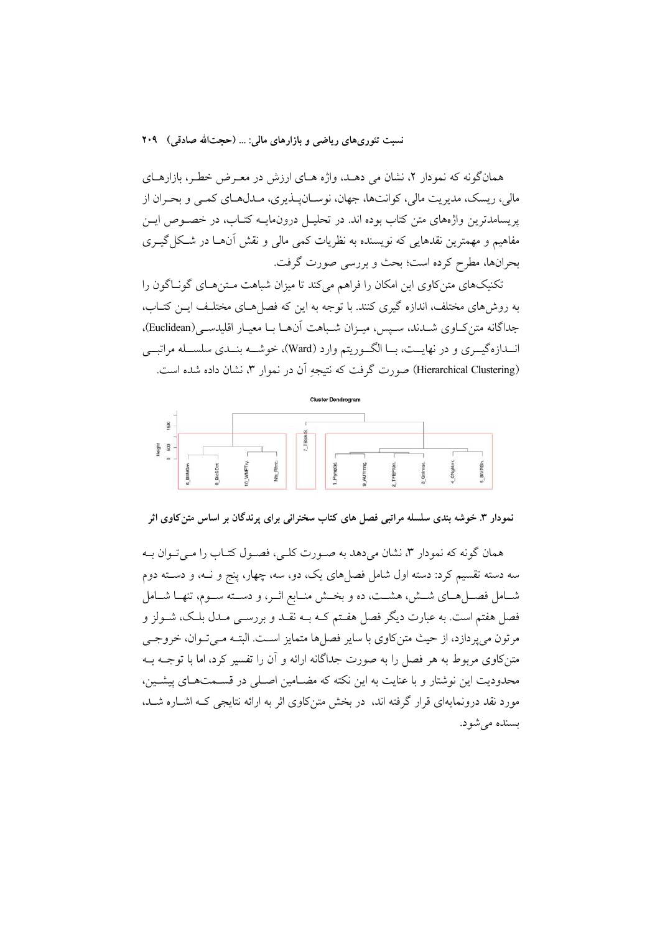همانگونه که نمودار ۲، نشان می دهـد، واژه هـای ارزش در معـرض خطـر، بازارهـای مالي، ريسک، مديريت مالي، کوانتها، جهان، نوسـانيــذيري، مــدلهــاي کمــي و بحـران از پریسامدترین واژههای متن کتاب بوده اند. در تحلیـل درونمایــه کتـاب، در خصــوص ایــن مفاهيم و مهمترين نقدهايي كه نويسنده به نظريات كمي مالي و نقش آنهــا در شــكل گيــري بحرانها، مطرح كرده است؛ بحث و بررسي صورت گرفت.

تکنیکهای متن کاوی این امکان را فراهم می کند تا میزان شیاهت مـتن هـای گونــاگون را به روشهای مختلف، اندازه گیری کنند. با توجه به این که فصلهـای مختلـف ایــن کتــاب، جداگانه متن کاوی شـدند، سـپس، میـزان شـباهت آنهـا بـا معيـار اقليدسـي(Euclidean). انــدازهگیــری و در نهایــت، بــا الگــوریتم وارد (Ward)، خوشــه بنــدی سلســله مراتبــی (Hierarchical Clustering) صورت گرفت که نتیجه اَن در نموار ۳، نشان داده شده است.



نمودار ۳. خوشه بندی سلسله مراتبی فصل های کتاب سخنرانی برای پرندگان بر اساس متن کاوی اثر

همان گونه که نمودار ۳، نشان میدهد به صـورت کلـی، فصـول کتـاب را مـیتـوان بـه سه دسته تقسیم کرد: دسته اول شامل فصلهای یک، دو، سه، چهار، پنج و نــه، و دســته دوم شـامل فصـلهـاي شـش، هشـت، ده و بخـش منـابع اثـر، و دسـته سـوم، تنهـا شـامل فصل هفتم است. به عبارت دیگر فصل هفـتم کــه بــه نقــد و بررســی مــدل بلــک، شــولز و مرتون میپردازد، از حیث متن کاوی با سایر فصلها متمایز است. البتـه مـیتوان، خروجـی متنکاوی مربوط به هر فصل را به صورت جداگانه ارائه و آن را تفسیر کرد، اما با توجــه بــه محدودیت این نوشتار و با عنایت به این نکته که مضـامین اصـلی در قسـمتهـای پیشـین، مورد نقد درونمایهای قرار گرفته اند، در بخش متن کاوی اثر به ارائه نتایجی کـه اشـاره شـد. بسندہ مے شو د.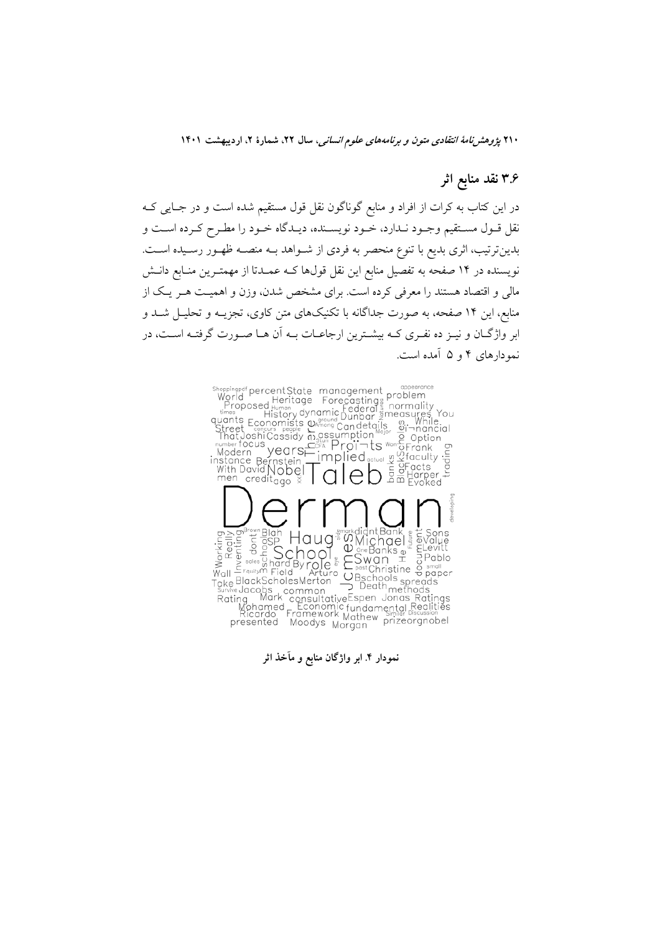۲۱۰ *یژوهشرنامهٔ انتقادی متون و برنامههای علوم انسانی*، سال ۲۲، شمارهٔ ۲، اردیبهشت ۱۴۰۱

# ۳.۶ نقد منابع اثر

در این کتاب به کرات از افراد و منابع گوناگون نقل قول مستقیم شده است و در جـایی کــه نقل قـول مسـتقيم وجـود نـدارد، خـود نويسـنده، ديـدگاه خـود را مطـرح كـرده اسـت و بدین ترتیب، اثری بدیع با تنوع منحصر به فردی از شـواهد بــه منصــه ظهـور رسـیده اسـت. نویسنده در ۱۴ صفحه به تفصیل منابع این نقل قولها کـه عمـدتا از مهمتـرین منـابع دانــش مالی و اقتصاد هستند را معرفی کرده است. برای مشخص شدن، وزن و اهمیـت هــر یــک از منابع، این ۱۴ صفحه، به صورت جداگانه با تکنیکهای متن کاوی، تجزیــه و تحلیــل شــد و ابر واژگـان و نيـز ده نفـري كـه بيشـترين ارجاعـات بـه اَن هـا صـورت گرفتـه اسـت، در نمودارهای ۴ و ۵ آمده است.



نمودار ۴ ابر واژگان منابع و مآخذ اثر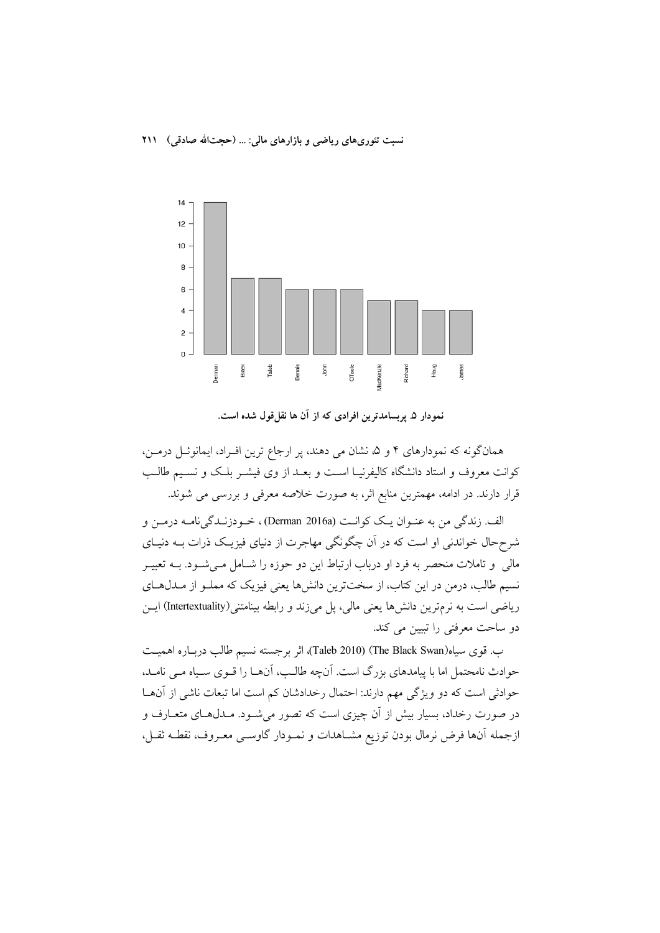نسبت تئوري هاي رياضي و بازارهاي مالي: … (حجتالله صادقي) 111



نمودار ۵ـ پربسامدترین افرادی که از آن ها نقلقول شده است.

همانگونه که نمودارهای ۴ و ۵ نشان می دهند، پر ارجاع ترین افـراد، ایمانوئـل درمــن، کوانت معروف و استاد دانشگاه کالیفرنیـا اســت و بعــد از وی فیشــر بلـک و نســیم طالــب قرار دارند. در ادامه، مهمترین منابع اثر، به صورت خلاصه معرفی و بررسی می شوند.

الف. زندگي من به عنـوان يـک کوانـت (Derman 2016a) ، خــودزنـدگي نامــه درمــن و شرح حال خواندنی او است که در آن چگونگی مهاجرت از دنیای فیزیـک ذرات بــه دنیــای مالی و تاملات منحصر به فرد او درباب ارتباط این دو حوزه را شــامل مــیشــود. بــه تعبیــر نسیم طالب، درمن در این کتاب، از سختترین دانشها یعنی فیزیک که مملـو از مـدلهـای ریاضی است به نرمترین دانشها یعنی مالی، پل میزند و رابطه بینامتنی(Intertextuality) ایــن دو ساحت معرفتی را تبیین می کند.

ب. قوى سياه(Taleb 2010) (The Black Swan)، اثر برجسته نسيم طالب دربـاره اهميـت حوادث نامحتمل اما با پیامدهای بزرگ است. آنچه طالب، آنهـا را قــوی سـیاه مــی نامــد، حوادثی است که دو ویژگی مهم دارند: احتمال رخدادشان کم است اما تبعات ناشی از آنهـا در صورت رخداد، بسیار بیش از آن چیزی است که تصور میشـود. مـدل۱هـای متعــارف و ازجمله آنها فرض نرمال بودن توزيع مشـاهدات و نمـودار گاوســي معـروف، نقطـه ثقـل،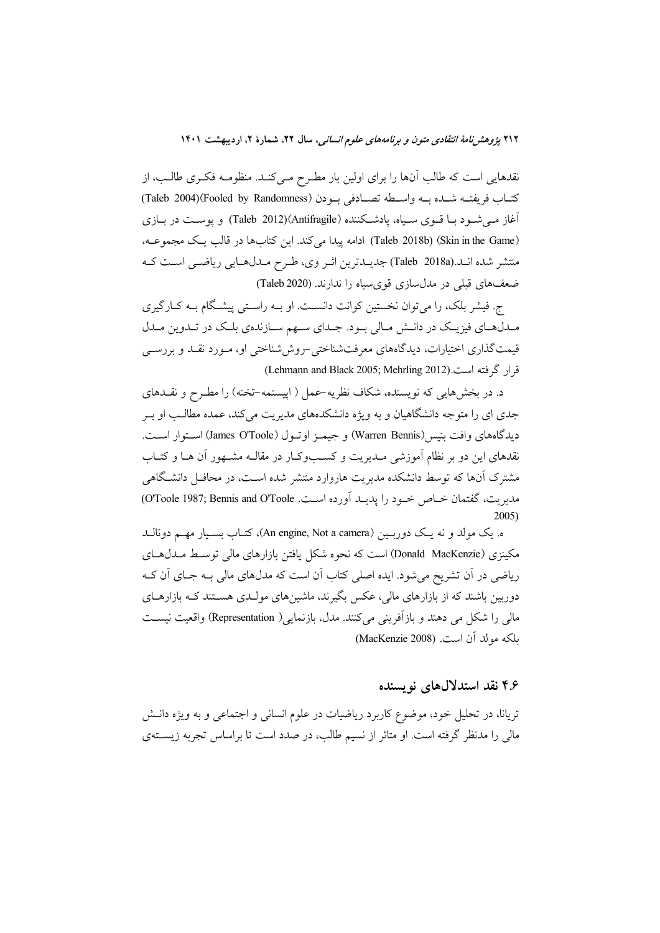۲۱۲ پژ*وهش نامهٔ انتقادی متون و برنامههای علوم انسانی،* سال ۲۲، شمارهٔ ۲، اردیبهشت ۱۴۰۱

نقدهایی است که طالب آنها را برای اولین بار مطـرح مـیکنـد. منظومـه فکـری طالـب، از كتــاب فريفتــه شــده بــه واســطه تصــادفى بــودن (Fooled by Randomness)(Taleb 2004) آغاز مے شود با قـوی سـياه، يادشـكننده (Antifragile)(Taleb 2012) و پوسـت در بـازی (Skin in the Game) (Taleb 2018b) ادامه ييدا مي كند. اين كتابها در قالب يك مجموعـه، منتشر شده انـد.(Taleb 2018a) جديـدترين اثـر وي، طـرح مـدل(هـايي رياضـي اسـت كـه ضعفهای قبلی در مدلسازی قویسیاه را ندارند. (Taleb 2020)

ج. فیشر بلک، را میتوان نخستین کوانت دانسـت. او بـه راسـتی پیشـگام بـه کـارگیری مـدلهـاي فيزيـک در دانـش مـالي بـود. جـداي سـهم سـازندهي بلـک در تـدوين مـدل قیمتگذاری اختیارات، دیدگاههای معرفتشناختی –روش شناختی او، مـورد نقــد و بررســی قرار گرفته است.(Lehmann and Black 2005; Mehrling 2012)

د. در بخشهایی که نویسنده، شکاف نظریه-عمل ( اپیستمه-تخنه) را مطـرح و نقــدهای جدی ای را متوجه دانشگاهیان و به ویژه دانشکدههای مدیریت میکند، عمده مطالب او بـر ديدگاههاي وافت بنيس(Warren Bennis) و جيمـز اوتـول (James O'Toole) اسـتوار اسـت. نقدهای این دو بر نظام آموزشی مبدریت و کسب وکبار در مقالبه مشبهور آن هبا و کتباب مشترک آنها که توسط دانشکده مدیریت هاروارد منتشر شده اسـت، در محافـل دانشـگاهی مديريت، گفتمان خــاص خـود را يديــد آورده اســت. O'Toole 1987; Bennis and O'Toole) 2005)

ه. یک مولد و نه یک دوربـین (An engine, Not a camera)، کتـاب بسـیار مهـم دونالــد مکینزی (Donald MacKenzie) است که نحوه شکل یافتن بازارهای مالی توسط مــدل۱صای ریاضی در آن تشریح میشود. ایده اصلی کتاب آن است که مدلهای مالی بــه جــای آن کــه دوربین باشند که از بازارهای مالی، عکس بگیرند، ماشینهای مولـدی هسـتند کـه بازارهـای مالی را شکل می دهند و بازآفرینی میکنند. مدل، بازنمایی( Representation) واقعیت نیست ىلكە مولد آن است. (MacKenzie 2008)

## ۴.۶ نقد استدلالهای نویسنده

تریانا، در تحلیل خود، موضوع کاربرد ریاضیات در علوم انسانی و اجتماعی و به ویژه دانــش مالی را مدنظر گرفته است. او متاثر از نسیم طالب، در صدد است تا براساس تجربه زیستهی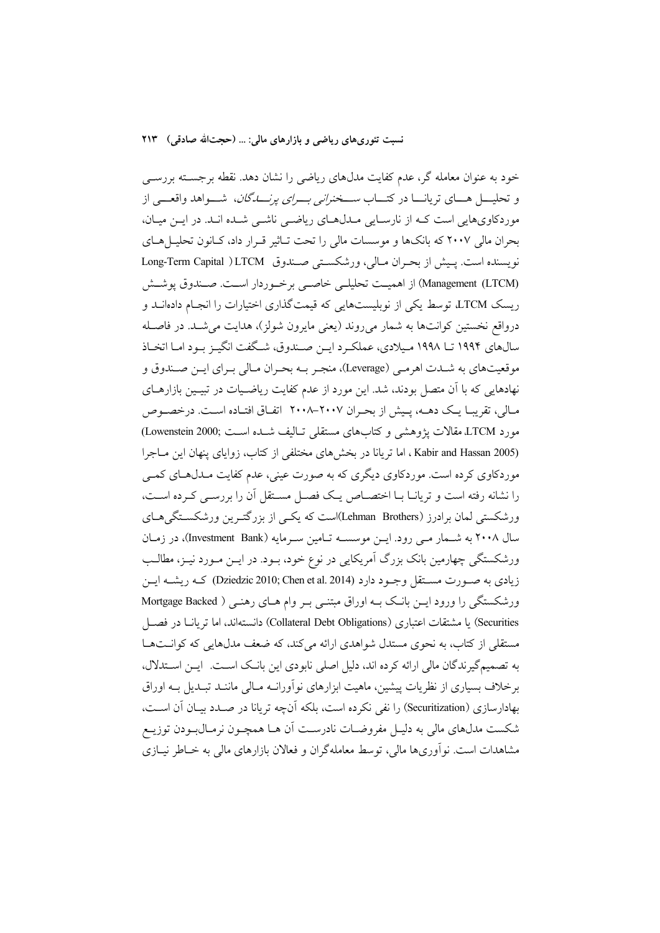#### نسبت تئوري هاي رياضي و بازارهاي مالي: … (حجتالله صادقي) ٢١٣

خود به عنوان معامله گر، عدم کفایت مدل&ای ریاضی را نشان دهد. نقطه برجسـته بررســی و تحليــــل هــــاي تريانــــا در كتــــاب *ســـخنراني بــــراي يرنــــــــاگان*، شــــواهد واقعـــــ<sub>،</sub> از موردکاویهایی است کـه از نارسـایی مـدلهـای ریاضـی ناشـی شـده انـد. در ایـن میـان، بحران مالی ۲۰۰۷ که بانکها و موسسات مالی را تحت تـاثیر قـرار داد، کـانون تحليـلهـای نويسنده است. يـيش از بحـران مـالي، ورشكسـتي صـندوق Long-Term Capital )LTCM (Management (LTCM) از اهمیت تحلیلی خاصبی برخوردار است. صندوق یوشش ریسک LTCM، توسط یکی از نوبلیستهایی که قیمتگذاری اختیارات را انجـام دادهانــد و درواقع نخستین کوانتها به شمار میروند (یعنی مایرون شولز)، هدایت می شـد. در فاصـله سالهای ۱۹۹۴ تــا ۱۹۹۸ مـیلادی، عملکـرد ایــن صــندوق، شــگفت انگیــز بــود امــا اتخــاذ موقعیتهای به شـدت اهرمـی (Leverage)، منجـر بــه بحـران مـالی بـرای ایــن صـندوق و نهادهایی که با آن متصل بودند، شد. این مورد از عدم کفایت ریاضـیات در تبیـین بازارهـای مالی، تقریبا یک دهــه، پـیش از بحـران ٢٠٠٧–٢٠٠٨ اتفـاق افتـاده اسـت. درخصـوص مورد LTCM مقالات يژوهشي وكتابهاي مستقلي تـاليف شـده اسـت (Lowenstein 2000) (Kabir and Hassan 2005 ، اما تريانا در بخش هاى مختلفى از كتاب، زواياى پنهان اين مـاجرا موردکاوي کرده است. موردکاوي ديگري که به صورت عيني، عدم کفايت مـدل۱هـاي کمـي را نشانه رفته است و تریانــا بــا اختصـــاص یــک فصـــل مســتقل آن را بررســی کــرده اســت، ورشکستی لمان برادرز (Lehman Brothers)است که یکسی از بزرگتـرین ورشکسـتگی۵حـای سال ۲۰۰۸ به شـمار مـی رود. ایـن موسسـه تـامین سـرمایه (Investment Bank)، در زمـان ورشکستگی چهارمین بانک بزرگ آمریکایی در نوع خود، بـود. در ایــن مـورد نیــز، مطالــب زیادی به صورت مستقل وجـود دارد (Dziedzic 2010; Chen et al. 2014) کـه ریشـه ایـن ورشکستگی را ورود این بانک به اوراق مبتنی بر وام های رهنی ( Mortgage Backed Securities) یا مشتقات اعتباری (Collateral Debt Obligations) دانستهاند، اما تریانـا در فصــل مستقلی از کتاب، به نحوی مستدل شواهدی ارائه می کند، که ضعف مدلهایی که کوانـتهـا به تصمیم گیرندگان مالی ارائه کرده اند، دلیل اصلی نابودی این بانک است. ایـن اسـتدلال، برخلاف بسیاری از نظریات پیشین، ماهیت ایزارهای نوآورانیه مبالی ماننید تبیدیل پیه اوراق بهادارسازی (Securitization) را نفی نکرده است، بلکه آنچه تریانا در صـدد بیـان آن اسـت، شکست مدلهای مالی به دلیـل مفروضـات نادرسـت اَن هــا همچــون نرمــال.بـودن توزیــع مشاهدات است. نوآوریها مالی، توسط معاملهگران و فعالان بازارهای مالی به خــاطر نیــازی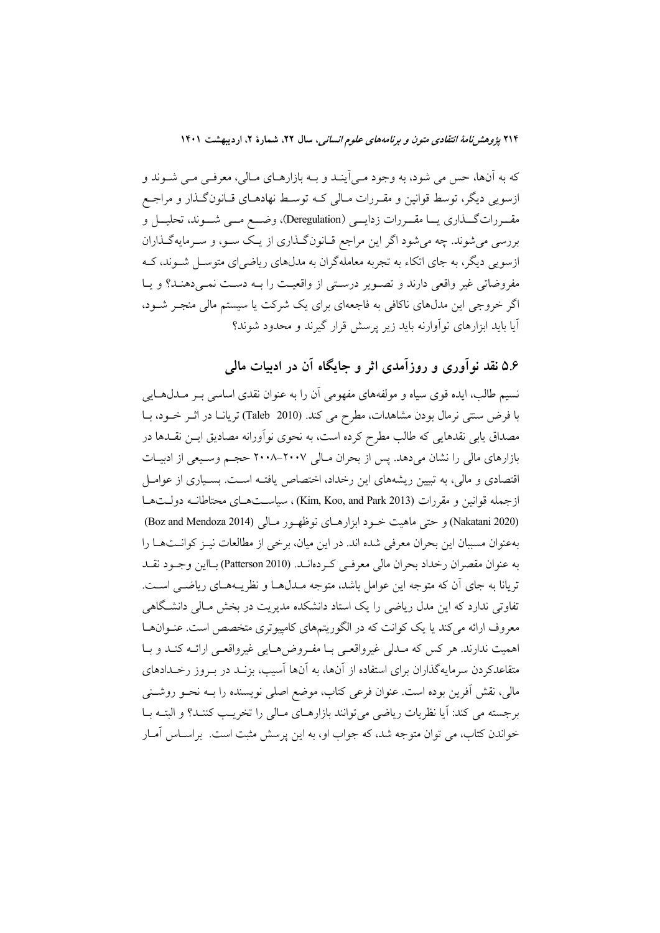۲۱۴ پژ*وهش نامهٔ انتقادی متون و برنامههای علوم انسانی،* سال ۲۲، شمارهٔ ۲، اردیبهشت ۱۴۰۱

که به آنها، حس می شود، به وجود مـی]ینـد و بـه بازارهـای مـالی، معرفـی مـی شـوند و ازسویی دیگر، توسط قوانین و مقـررات مـالی کـه توسـط نهادهـای قـانون گـذار و مراجـع مقــرراتگـــذاري يـــا مقـــررات زدايـــي (Deregulation)، وضـــع مـــي شـــوند، تحليـــل و بررسی میشوند. چه میشود اگر این مراجع قـانونگـذاری از یـک سـو، و سـرمایهگـذاران ازسویی دیگر، به جای اتکاء به تجربه معاملهگران به مدلهای ریاضی ای متوســل شــوند، کــه مفروضاتی غیر واقعی دارند و تصویر درستی از واقعیت را بـه دست نمـیدهنـد؟ و یـا اگر خروجی این مدلهای ناکافی به فاجعهای برای یک شرکت یا سیستم مالی منجـر شـود، آیا باید ابزارهای نوآوارنه باید زیر پرسش قرار گیرند و محدود شوند؟

# ۵.۶ نقد نوآوری و روزآمدی اثر و جایگاه آن در ادبیات مالی

نسیم طالب، ایده قوی سیاه و مولفههای مفهومی آن را به عنوان نقدی اساسی بـر مــدلهــایی با فرض سنتی نرمال بودن مشاهدات، مطرح می کند. (Taleb 2010) تریانـا در اثـر خــود، بــا مصداق یابی نقدهایی که طالب مطرح کرده است، به نحوی نوآورانه مصادیق ایــن نقــدها در بازارهای مالی را نشان میدهد. پس از بحران مـالی ۲۰۰۷–۲۰۰۸ حجـم وسـيعی از ادبيـات اقتصادی و مالی، به تبیین ریشههای این رخداد، اختصاص یافتـه اسـت. بسـیاری از عوامـل ازجمله قوانین و مقررات (Kim, Koo, and Park 2013) ، سیاست هـای محتاطانـه دولـتهـا (Nakatani 2020) و حتى ماهيت خـود ابزارهـاى نوظهـور مـالى (Boz and Mendoza 2014) بهعنوان مسببان این بحران معرفی شده اند. در این میان، برخی از مطالعات نیـز کوانــتهــا را به عنوان مقصران رخداد بحران مالي معرفي كـردهانــد. (Patterson 2010) بــااين وجــود نقــد تریانا به جای اّن که متوجه این عوامل باشد، متوجه مـدلهـا و نظریــههـای ریاضــی اســت. تفاوتی ندارد که این مدل ریاضی را یک استاد دانشکده مدیریت در بخش مـالی دانشـگاهی معروف ارائه می کند یا یک کوانت که در الگوریتمهای کامپیوتری متخصص است. عنـوانهـا اهميت ندارند. هر كس كه مـدلي غيرواقعـي بـا مفـروضهـايي غيرواقعـي ارائـه كنـد و بـا متقاعدکردن سرمایهگذاران برای استفاده از آنها، به آنها آسیب، بزنـد در بـروز رخـدادهای مالی، نقش اَفرین بوده است. عنوان فرعی کتاب، موضع اصلی نویسنده را بــه نحــو روشــنی برجسته مي كند: آيا نظريات رياضي مي توانند بازارهـاي مـالي را تخريـب كننـد؟ و البتــه بــا خواندن کتاب، می توان متوجه شد، که جواب او، به این پرسش مثبت است. براسـاس آمـار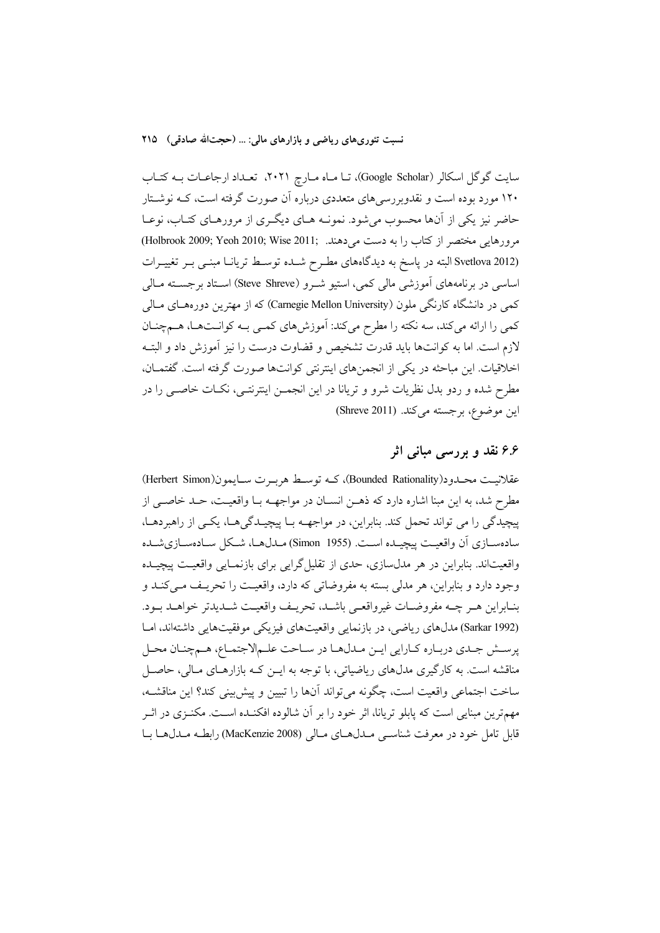نسبت تئوريهاي رياضي و بازارهاي مالي: … (حجتالله صادقي) ٢١٥

سایت گوگل اسکالر (Google Scholar)، تـا مـاه مـارچ ۲۰۲۱، تعـداد ارجاعـات بـه کتـاب ۱۲۰ مورد بوده است و نقدوبررسیِهای متعددی درباره آن صورت گرفته است، کــه نوشــتار حاضر نیز یکی از آنها محسوب میشود. نمونـه هـای دیگـری از مرورهـای کتـاب، نوعـا مرورهايي مختصر از كتاب را به دست مىدهند. (Holbrook 2009; Yeoh 2010; Wise 2011; (Svetlova 2012 البته در پاسخ به دیدگاههای مطـرح شـده توسـط تریانـا مبنـبی بـر تغییـرات اساسی در برنامههای اَموزشی مالی کمی، استیو شـرو (Steve Shreve) اسـتاد برجسـته مـالی کمی در دانشگاه کارنگی ملون (Carnegie Mellon University) که از مهترین دورههـای مـالی کمی را ارائه میکند، سه نکته را مطرح میکند: آموزشهای کمـی بـه کوانـتهـا، هــمچنــان لازم است. اما به كوانتها بايد قدرت تشخيص و قضاوت درست را نيز آموزش داد و البتــه اخلاقیات. این مباحثه در یکی از انجمنهای اینترنتی کوانتها صورت گرفته است. گفتمـان، مطرح شده و ردو بدل نظریات شرو و تریانا در این انجمـن اینترنتـی، نکـات خاصـی را در این موضوع، برجسته می کند. (Shreve 2011)

# ۶.۶ نقد و بررسی مبانی اثر

عقلانيـت محـدود(Bounded Rationality)، كـه توسـط هربـرت سـايمون(Herbert Simon) مطرح شد، به این مبنا اشاره دارد که ذهـن انسـان در مواجهــه بـا واقعیـت، حـد خاصــی از پیچیدگی را می تواند تحمل کند. بنابراین، در مواجهـه بـا پیچیـدگیهـا، یکـی از راهبردهـا، سادهسـازي آن واقعيـت پيچيـده اسـت. (Simon 1955) مـدل&ا، شـكل سـادهسـازيشـده واقعیتاند. بنابراین در هر مدل سازی، حدی از تقلیل گرایی برای بازنمـایی واقعیـت پیچیــده وجود دارد و بنابراین، هر مدلی بسته به مفروضاتی که دارد، واقعیت را تحریـف مـیکنـد و بنـابراين هـر چـه مفروضـات غيرواقعـي باشـد، تحريـف واقعيـت شـديدتر خواهـد بـود. (Sarkar 1992) مدل های ریاضی، در بازنمایی واقعیتهای فیزیکی موفقیتهایی داشتهاند، امـا پرسش جـدي دربـاره كـارايي ايـن مـدلهـا در سـاحت علـمالاجتمـاع، هـمچنـان محـل مناقشه است. به کارگیری مدلهای ریاضیاتی، با توجه به ایـن کـه بازارهـای مـالی، حاصـل ساخت اجتماعي واقعيت است، چگونه مي تواند آنها را تبيين و پيش بيني كند؟ اين مناقشــه، مهمترین مبنایی است که پابلو تریانا، اثر خود را بر آن شالوده افکنـده اسـت. مکنـزی در اثـر قابل تامل خود در معرفت شناسبي مـدل١صاي مـالي (MacKenzie 2008) رابطـه مـدل١هـا بـا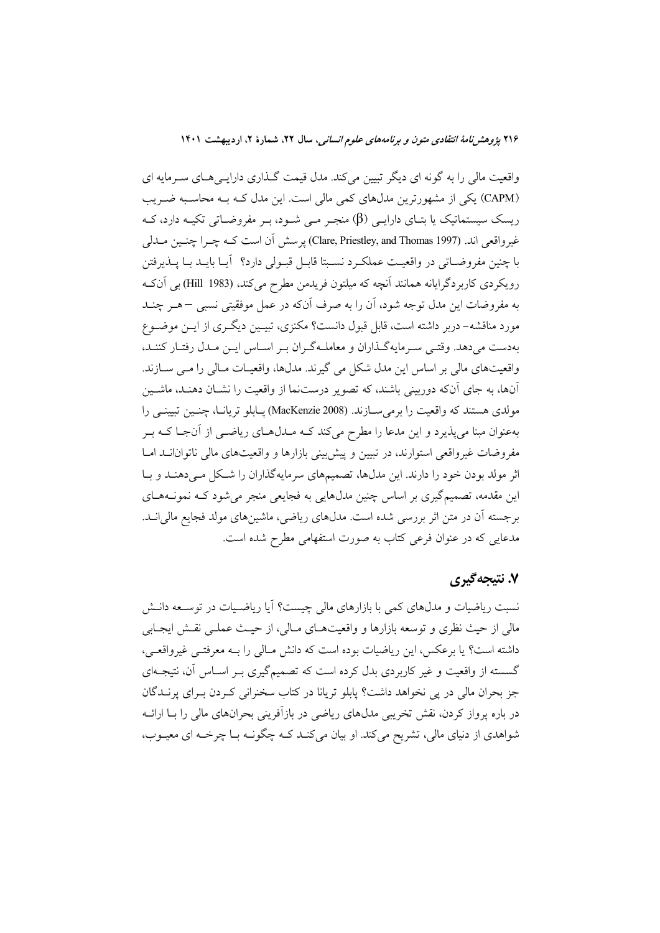۲۱۶ پژوهشر *نامهٔ انتقادی متون و برنامههای علوم انسانی*، سال ۲۲، شمارهٔ ۲، اردیبهشت ۱۴۰۱

واقعیت مالی را به گونه ای دیگر تبیین میکند. مدل قیمت گـذاری دارایـیهـای سـرمایه ای (CAPM) یکی از مشهورترین مدلهای کمی مالی است. این مدل کـه بـه محاسـبه ضـریب ریسک سیستماتیک یا بتـای دارایـی (β) منجـر مـی شـود، بـر مفروضـاتی تکیـه دارد، کـه غيرواقعي اند. (Clare, Priestley, and Thomas 1997) يوسش أن است كــه چــرا چنــين مــدلي با چنین مفروضـاتی در واقعیـت عملکـرد نسـبتا قابـل قبـولی دارد؟ آیــا بایــد بــا پــذیرفتن رويكردي كاربردگرايانه همانند آنچه كه ميلتون فريدمن مطرح ميكند، (Hill 1983) بي آنكه به مفروضات این مدل توجه شود، آن را به صرف آنکه در عمل موفقیتی نسبی –هـر چنــد مورد مناقشه– دربر داشته است، قابل قبول دانست؟ مکنزی، تبیــین دیگــری از ایــن موضــوع بهدست میدهد. وقتـی سـرمایهگـذاران و معاملـهگـران بـر اسـاس ايـن مـدل رفتـار كننـد، واقعیتهای مالی بر اساس این مدل شکل می گیرند. مدلها، واقعیـات مـالی را مـی ســازند. آنها، به جای آنکه دوربینی باشند، که تصویر درستنما از واقعیت را نشــان دهنـد، ماشــین مولدي هستند كه واقعيت را برمي ســازند. (MacKenzie 2008) يــابلو تريانــا، چنــين تبيينــي را بهعنوان مبنا میپذیرد و این مدعا را مطرح میکند کـه مـدلهـای ریاضــی از آنجـا کــه بــر مفروضات غیرواقعی استوارند، در تبیین و پیش بینی بازارها و واقعیتهای مالی ناتوانانــد امــا اثر مولد بودن خود را دارند. این مدلها، تصمیمهای سرمایهگذاران را شکل مـی دهنـد و بـا این مقدمه، تصمیمگیری بر اساس چنین مدلهایی به فجایعی منجر میشود کـه نمونـههـای برجسته آن در متن اثر بررسی شده است. مدلهای ریاضی، ماشینهای مولد فجایع مالیانــد. مدعایی که در عنوان فرعی کتاب به صورت استفهامی مطرح شده است.

## ۷. نتیجهگیری

نسبت ریاضیات و مدلهای کمی با بازارهای مالی چیست؟ آیا ریاضـیات در توسـعه دانــش مالي از حيث نظري و توسعه بازارها و واقعيتهـاي مـالي، از حيـث عملـي نقـش ايجـابي داشته است؟ يا برعكس، اين رياضيات بوده است كه دانش مـالي را بــه معرفتــي غيرواقعــي، گسسته از واقعیت و غیر کاربردی بدل کرده است که تصمیمگیری بـر اسـاس آن، نتیجـهای جز بحران مالي در يي نخواهد داشت؟ يابلو تريانا در كتاب سخنراني كـردن بـراي يرنــدگان در باره پرواز کردن، نقش تخریبی مدلهای ریاضی در بازآفرینی بحرانهای مالی را بـا ارائــه شواهدی از دنیای مالی، تشریح میکند. او بیان میکنـد کـه چگونـه بـا چرخـه ای معیـوب،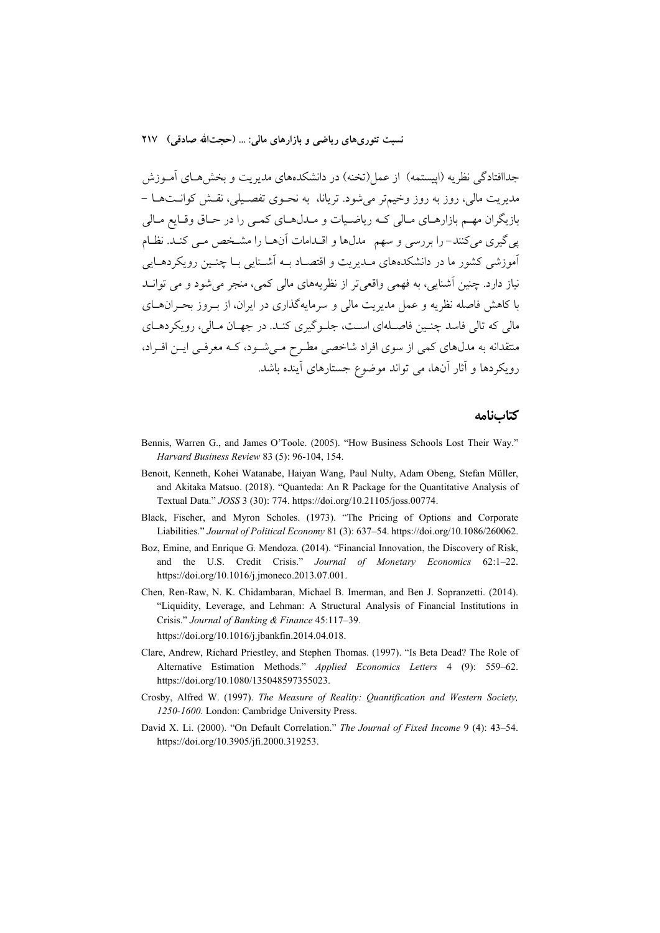جداافتادگی نظریه (اییستمه) از عمل(تخنه) در دانشکدههای مدیریت و بخشههای آمـوزش مدیریت مالی، روز به روز وخیمتر میشود. تریانا، به نحــوی تفصــیلی، نقــش کوانــتهــا – بازیگران مهم بازارهـای مـالی کـه ریاضـیات و مـدلهـای کمـی را در حـاق وقـایع مـالی یی گیری می کنند– را بررسی و سهم ِ مدلها و اقــدامات آنهــا را مشــخص مــی کنــد. نظــام آموزشی کشور ما در دانشکدههای مـدیریت و اقتصـاد بـه اَشـنایی بـا چنـین رویکردهـایی نیاز دارد. چنین آشنایی، به فهمی واقعی تر از نظریههای مالی کمی، منجر میشود و می توانــد با کاهش فاصله نظریه و عمل مدیریت مالی و سرمایهگذاری در ایران، از بـروز بحـرانهـای مالي كه تالي فاسد چنـين فاصـلهاي اسـت، جلـو گيري كنـد. در جهـان مـالي، رويكردهـاي منتقدانه به مدلهای کمی از سوی افراد شاخصی مطرح میشود، کـه معرفـی ایـن افـراد، رویکردها و آثار آنها، می تواند موضوع جستارهای آینده باشد.

#### كتابنامه

- Bennis, Warren G., and James O'Toole. (2005). "How Business Schools Lost Their Way." Harvard Business Review 83 (5): 96-104, 154.
- Benoit, Kenneth, Kohei Watanabe, Haiyan Wang, Paul Nulty, Adam Obeng, Stefan Müller, and Akitaka Matsuo. (2018). "Quanteda: An R Package for the Quantitative Analysis of Textual Data." JOSS 3 (30): 774. https://doi.org/10.21105/joss.00774.
- Black, Fischer, and Myron Scholes. (1973). "The Pricing of Options and Corporate Liabilities." Journal of Political Economy 81 (3): 637-54. https://doi.org/10.1086/260062.
- Boz, Emine, and Enrique G. Mendoza. (2014). "Financial Innovation, the Discovery of Risk, and the U.S. Credit Crisis." Journal of Monetary Economics 62:1-22. https://doi.org/10.1016/j.jmoneco.2013.07.001.
- Chen, Ren-Raw, N. K. Chidambaran, Michael B. Imerman, and Ben J. Sopranzetti. (2014). "Liquidity, Leverage, and Lehman: A Structural Analysis of Financial Institutions in Crisis." Journal of Banking & Finance 45:117-39.
	- https://doi.org/10.1016/j.jbankfin.2014.04.018.
- Clare, Andrew, Richard Priestley, and Stephen Thomas. (1997). "Is Beta Dead? The Role of Alternative Estimation Methods." Applied Economics Letters 4 (9): 559-62. https://doi.org/10.1080/135048597355023.
- Crosby, Alfred W. (1997). The Measure of Reality: Quantification and Western Society, 1250-1600. London: Cambridge University Press.
- David X. Li. (2000). "On Default Correlation." The Journal of Fixed Income 9 (4): 43-54. https://doi.org/10.3905/jfi.2000.319253.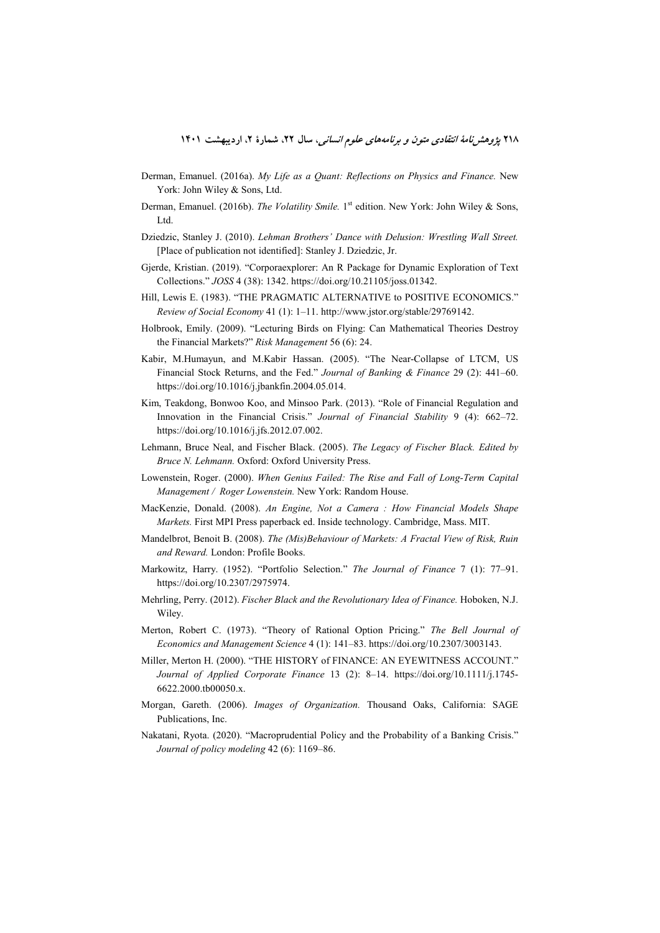- Derman, Emanuel. (2016a). *My Life as a Quant: Reflections on Physics and Finance.* New York: John Wiley & Sons, Ltd.
- Derman, Emanuel. (2016b). *The Volatility Smile*. 1<sup>st</sup> edition. New York: John Wiley & Sons, Ltd.
- Dziedzic, Stanley J. (2010). *Lehman Brothers' Dance with Delusion: Wrestling Wall Street.*  [Place of publication not identified]: Stanley J. Dziedzic, Jr.
- Gjerde, Kristian. (2019). "Corporaexplorer: An R Package for Dynamic Exploration of Text Collections." *JOSS* 4 (38): 1342. https://doi.org/10.21105/joss.01342.
- Hill, Lewis E. (1983). "THE PRAGMATIC ALTERNATIVE to POSITIVE ECONOMICS." *Review of Social Economy* 41 (1): 1–11. http://www.jstor.org/stable/29769142.
- Holbrook, Emily. (2009). "Lecturing Birds on Flying: Can Mathematical Theories Destroy the Financial Markets?" *Risk Management* 56 (6): 24.
- Kabir, M.Humayun, and M.Kabir Hassan. (2005). "The Near-Collapse of LTCM, US Financial Stock Returns, and the Fed." *Journal of Banking & Finance* 29 (2): 441–60. https://doi.org/10.1016/j.jbankfin.2004.05.014.
- Kim, Teakdong, Bonwoo Koo, and Minsoo Park. (2013). "Role of Financial Regulation and Innovation in the Financial Crisis." *Journal of Financial Stability* 9 (4): 662–72. https://doi.org/10.1016/j.jfs.2012.07.002.
- Lehmann, Bruce Neal, and Fischer Black. (2005). *The Legacy of Fischer Black. Edited by Bruce N. Lehmann.* Oxford: Oxford University Press.
- Lowenstein, Roger. (2000). *When Genius Failed: The Rise and Fall of Long-Term Capital Management / Roger Lowenstein.* New York: Random House.
- MacKenzie, Donald. (2008). *An Engine, Not a Camera : How Financial Models Shape Markets.* First MPI Press paperback ed. Inside technology. Cambridge, Mass. MIT.
- Mandelbrot, Benoit B. (2008). *The (Mis)Behaviour of Markets: A Fractal View of Risk, Ruin and Reward.* London: Profile Books.
- Markowitz, Harry. (1952). "Portfolio Selection." *The Journal of Finance* 7 (1): 77–91. https://doi.org/10.2307/2975974.
- Mehrling, Perry. (2012). *Fischer Black and the Revolutionary Idea of Finance.* Hoboken, N.J. Wiley.
- Merton, Robert C. (1973). "Theory of Rational Option Pricing." *The Bell Journal of Economics and Management Science* 4 (1): 141–83. https://doi.org/10.2307/3003143.
- Miller, Merton H. (2000). "THE HISTORY of FINANCE: AN EYEWITNESS ACCOUNT." *Journal of Applied Corporate Finance* 13 (2): 8–14. https://doi.org/10.1111/j.1745- 6622.2000.tb00050.x.
- Morgan, Gareth. (2006). *Images of Organization.* Thousand Oaks, California: SAGE Publications, Inc.
- Nakatani, Ryota. (2020). "Macroprudential Policy and the Probability of a Banking Crisis." *Journal of policy modeling* 42 (6): 1169–86.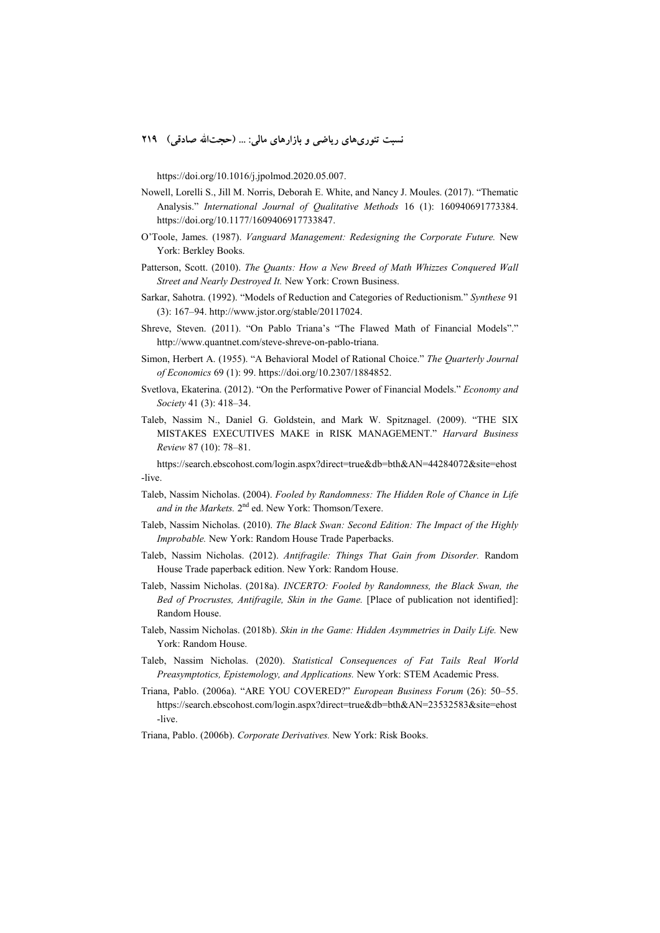نسبت تئوریهای ریاضی و بازارهای مالی: ... (حجتالله صادقی) ۲۱۹

https://doi.org/10.1016/j.jpolmod.2020.05.007.

- Nowell, Lorelli S., Jill M. Norris, Deborah E. White, and Nancy J. Moules. (2017). "Thematic Analysis." *International Journal of Qualitative Methods* 16 (1): 160940691773384. https://doi.org/10.1177/1609406917733847.
- O'Toole, James. (1987). *Vanguard Management: Redesigning the Corporate Future.* New York: Berkley Books.
- Patterson, Scott. (2010). *The Quants: How a New Breed of Math Whizzes Conquered Wall Street and Nearly Destroyed It.* New York: Crown Business.
- Sarkar, Sahotra. (1992). "Models of Reduction and Categories of Reductionism." *Synthese* 91 (3): 167–94. http://www.jstor.org/stable/20117024.
- Shreve, Steven. (2011). "On Pablo Triana's "The Flawed Math of Financial Models"." http://www.quantnet.com/steve-shreve-on-pablo-triana.
- Simon, Herbert A. (1955). "A Behavioral Model of Rational Choice." *The Quarterly Journal of Economics* 69 (1): 99. https://doi.org/10.2307/1884852.
- Svetlova, Ekaterina. (2012). "On the Performative Power of Financial Models." *Economy and Society* 41 (3): 418–34.
- Taleb, Nassim N., Daniel G. Goldstein, and Mark W. Spitznagel. (2009). "THE SIX MISTAKES EXECUTIVES MAKE in RISK MANAGEMENT." *Harvard Business Review* 87 (10): 78–81.

https://search.ebscohost.com/login.aspx?direct=true&db=bth&AN=44284072&site=ehost -live.

- Taleb, Nassim Nicholas. (2004). *Fooled by Randomness: The Hidden Role of Chance in Life*  and in the Markets. 2<sup>nd</sup> ed. New York: Thomson/Texere.
- Taleb, Nassim Nicholas. (2010). *The Black Swan: Second Edition: The Impact of the Highly Improbable.* New York: Random House Trade Paperbacks.
- Taleb, Nassim Nicholas. (2012). *Antifragile: Things That Gain from Disorder.* Random House Trade paperback edition. New York: Random House.
- Taleb, Nassim Nicholas. (2018a). *INCERTO: Fooled by Randomness, the Black Swan, the*  Bed of Procrustes, Antifragile, Skin in the Game. [Place of publication not identified]: Random House.
- Taleb, Nassim Nicholas. (2018b). *Skin in the Game: Hidden Asymmetries in Daily Life.* New York: Random House.
- Taleb, Nassim Nicholas. (2020). *Statistical Consequences of Fat Tails Real World Preasymptotics, Epistemology, and Applications.* New York: STEM Academic Press.
- Triana, Pablo. (2006a). "ARE YOU COVERED?" *European Business Forum* (26): 50–55. https://search.ebscohost.com/login.aspx?direct=true&db=bth&AN=23532583&site=ehost -live.
- Triana, Pablo. (2006b). *Corporate Derivatives.* New York: Risk Books.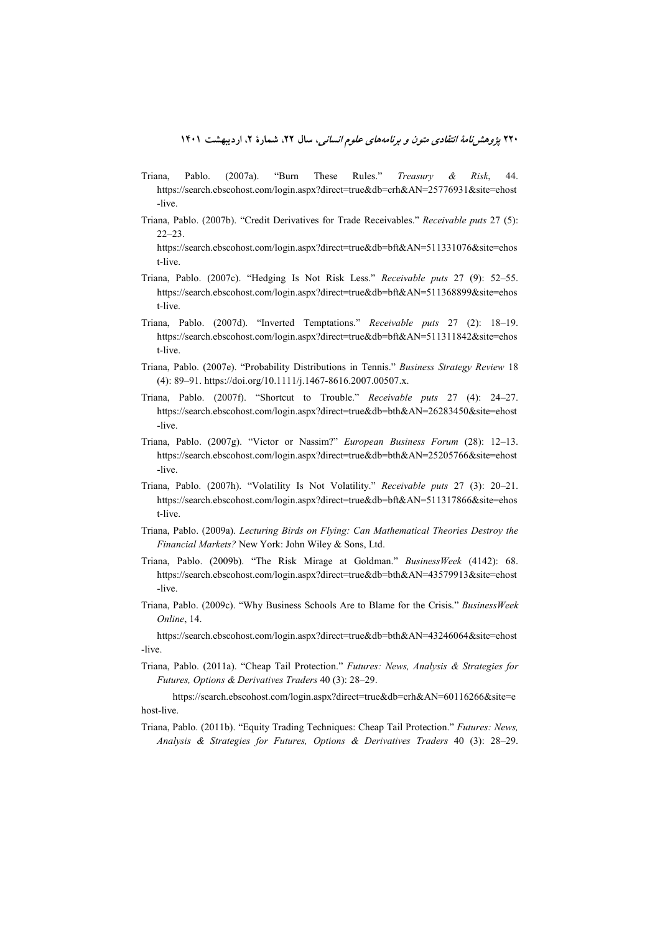- Triana, Pablo. (2007a). "Burn These Rules." *Treasury & Risk*, 44. https://search.ebscohost.com/login.aspx?direct=true&db=crh&AN=25776931&site=ehost -live.
- Triana, Pablo. (2007b). "Credit Derivatives for Trade Receivables." *Receivable puts* 27 (5): 22–23.

https://search.ebscohost.com/login.aspx?direct=true&db=bft&AN=511331076&site=ehos t-live.

- Triana, Pablo. (2007c). "Hedging Is Not Risk Less." *Receivable puts* 27 (9): 52–55. https://search.ebscohost.com/login.aspx?direct=true&db=bft&AN=511368899&site=ehos t-live.
- Triana, Pablo. (2007d). "Inverted Temptations." *Receivable puts* 27 (2): 18–19. https://search.ebscohost.com/login.aspx?direct=true&db=bft&AN=511311842&site=ehos t-live.
- Triana, Pablo. (2007e). "Probability Distributions in Tennis." *Business Strategy Review* 18 (4): 89–91. https://doi.org/10.1111/j.1467-8616.2007.00507.x.
- Triana, Pablo. (2007f). "Shortcut to Trouble." *Receivable puts* 27 (4): 24–27. https://search.ebscohost.com/login.aspx?direct=true&db=bth&AN=26283450&site=ehost -live.
- Triana, Pablo. (2007g). "Victor or Nassim?" *European Business Forum* (28): 12–13. https://search.ebscohost.com/login.aspx?direct=true&db=bth&AN=25205766&site=ehost -live.
- Triana, Pablo. (2007h). "Volatility Is Not Volatility." *Receivable puts* 27 (3): 20–21. https://search.ebscohost.com/login.aspx?direct=true&db=bft&AN=511317866&site=ehos t-live.
- Triana, Pablo. (2009a). *Lecturing Birds on Flying: Can Mathematical Theories Destroy the Financial Markets?* New York: John Wiley & Sons, Ltd.
- Triana, Pablo. (2009b). "The Risk Mirage at Goldman." *BusinessWeek* (4142): 68. https://search.ebscohost.com/login.aspx?direct=true&db=bth&AN=43579913&site=ehost -live.
- Triana, Pablo. (2009c). "Why Business Schools Are to Blame for the Crisis." *BusinessWeek Online*, 14.

https://search.ebscohost.com/login.aspx?direct=true&db=bth&AN=43246064&site=ehost -live.

Triana, Pablo. (2011a). "Cheap Tail Protection." *Futures: News, Analysis & Strategies for Futures, Options & Derivatives Traders* 40 (3): 28–29.

https://search.ebscohost.com/login.aspx?direct=true&db=crh&AN=60116266&site=e host-live.

Triana, Pablo. (2011b). "Equity Trading Techniques: Cheap Tail Protection." *Futures: News, Analysis & Strategies for Futures, Options & Derivatives Traders* 40 (3): 28–29.